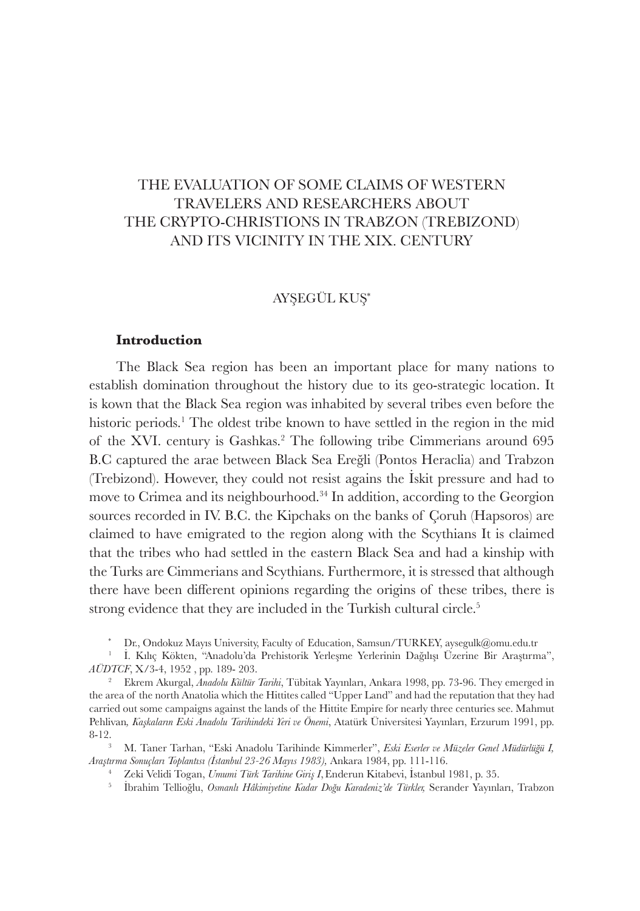## AYŞEGÜL KUŞ \*

## **Introduction**

The Black Sea region has been an important place for many nations to establish domination throughout the history due to its geo-strategic location. It is kown that the Black Sea region was inhabited by several tribes even before the historic periods.<sup>1</sup> The oldest tribe known to have settled in the region in the mid of the XVI. century is Gashkas.<sup>2</sup> The following tribe Cimmerians around 695 B.C captured the arae between Black Sea Ereğli (Pontos Heraclia) and Trabzon (Trebizond). However, they could not resist agains the İskit pressure and had to move to Crimea and its neighbourhood.<sup>34</sup> In addition, according to the Georgion sources recorded in IV. B.C. the Kipchaks on the banks of Çoruh (Hapsoros) are claimed to have emigrated to the region along with the Scythians It is claimed that the tribes who had settled in the eastern Black Sea and had a kinship with the Turks are Cimmerians and Scythians. Furthermore, it is stressed that although there have been different opinions regarding the origins of these tribes, there is strong evidence that they are included in the Turkish cultural circle.<sup>5</sup>

\* Dr., Ondokuz Mayıs University, Faculty of Education, Samsun/TURKEY, aysegulk@omu.edu.tr

5 İbrahim Tellioğlu, *Osmanlı Hâkimiyetine Kadar Doğu Karadeniz'de Türkler,* Serander Yayınları, Trabzon

<sup>1</sup>İ. Kılıç Kökten, "Anadolu'da Prehistorik Yerleşme Yerlerinin Dağılışı Üzerine Bir Araştırma", *AÜDTCF*, X/3-4, 1952 , pp. 189- 203.

<sup>2</sup>Ekrem Akurgal, *Anadolu Kültür Tarihi*, Tübitak Yayınları, Ankara 1998, pp. 73-96. They emerged in the area of the north Anatolia which the Hittites called "Upper Land" and had the reputation that they had carried out some campaigns against the lands of the Hittite Empire for nearly three centuries see. Mahmut Pehlivan*, Kaşkaların Eski Anadolu Tarihindeki Yeri ve Önemi*, Atatürk Üniversitesi Yayınları, Erzurum 1991, pp. 8-12.

<sup>3</sup> M. Taner Tarhan, "Eski Anadolu Tarihinde Kimmerler", *Eski Eserler ve Müzeler Genel Müdürlüğü I, Araştırma Sonuçları Toplantısı (İstanbul 23-26 Mayıs 1983),* Ankara 1984, pp. 111-116.

<sup>4</sup>Zeki Velidi Togan, *Umumi Türk Tarihine Giriş I*,Enderun Kitabevi, İstanbul 1981, p. 35.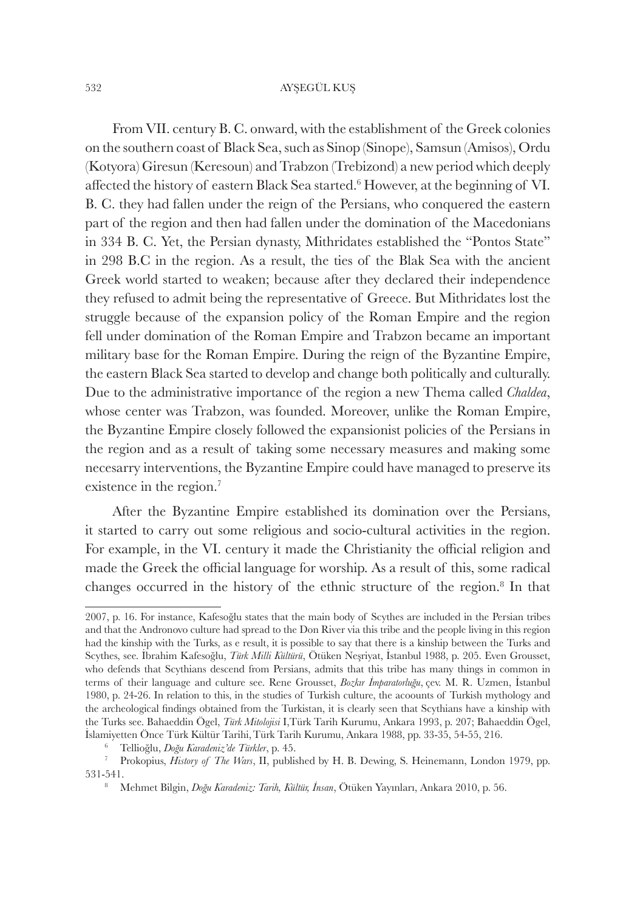From VII. century B. C. onward, with the establishment of the Greek colonies on the southern coast of Black Sea, such as Sinop (Sinope), Samsun (Amisos), Ordu (Kotyora) Giresun (Keresoun) and Trabzon (Trebizond) a new period which deeply affected the history of eastern Black Sea started.<sup>6</sup> However, at the beginning of VI. B. C. they had fallen under the reign of the Persians, who conquered the eastern part of the region and then had fallen under the domination of the Macedonians in 334 B. C. Yet, the Persian dynasty, Mithridates established the "Pontos State" in 298 B.C in the region. As a result, the ties of the Blak Sea with the ancient Greek world started to weaken; because after they declared their independence they refused to admit being the representative of Greece. But Mithridates lost the struggle because of the expansion policy of the Roman Empire and the region fell under domination of the Roman Empire and Trabzon became an important military base for the Roman Empire. During the reign of the Byzantine Empire, the eastern Black Sea started to develop and change both politically and culturally. Due to the administrative importance of the region a new Thema called *Chaldea*, whose center was Trabzon, was founded. Moreover, unlike the Roman Empire, the Byzantine Empire closely followed the expansionist policies of the Persians in the region and as a result of taking some necessary measures and making some necesarry interventions, the Byzantine Empire could have managed to preserve its existence in the region.<sup>7</sup>

After the Byzantine Empire established its domination over the Persians, it started to carry out some religious and socio-cultural activities in the region. For example, in the VI. century it made the Christianity the official religion and made the Greek the official language for worship. As a result of this, some radical changes occurred in the history of the ethnic structure of the region.<sup>8</sup> In that

<sup>2007,</sup> p. 16. For instance, Kafesoğlu states that the main body of Scythes are included in the Persian tribes and that the Andronovo culture had spread to the Don River via this tribe and the people living in this region had the kinship with the Turks, as e result, it is possible to say that there is a kinship between the Turks and Scythes, see. İbrahim Kafesoğlu, *Türk Milli Kültürü*, Ötüken Neşriyat, İstanbul 1988, p. 205. Even Grousset, who defends that Scythians descend from Persians, admits that this tribe has many things in common in terms of their language and culture see. Rene Grousset, *Bozkır İmparatorluğu*, çev. M. R. Uzmen, İstanbul 1980, p. 24-26. In relation to this, in the studies of Turkish culture, the acoounts of Turkish mythology and the archeological findings obtained from the Turkistan, it is clearly seen that Scythians have a kinship with the Turks see. Bahaeddin Ögel, *Türk Mitolojisi* I,Türk Tarih Kurumu, Ankara 1993, p. 207; Bahaeddin Ögel, İslamiyetten Önce Türk Kültür Tarihi,Türk Tarih Kurumu, Ankara 1988, pp. 33-35, 54-55, 216.

<sup>6</sup>Tellioğlu, *Doğu Karadeniz'de Türkler*, p. 45.

<sup>&</sup>lt;sup>7</sup> Prokopius, *History of The Wars*, II, published by H. B. Dewing, S. Heinemann, London 1979, pp. 531-541.

<sup>8</sup> Mehmet Bilgin, *Doğu Karadeniz: Tarih, Kültür, İnsan*, Ötüken Yayınları, Ankara 2010, p. 56.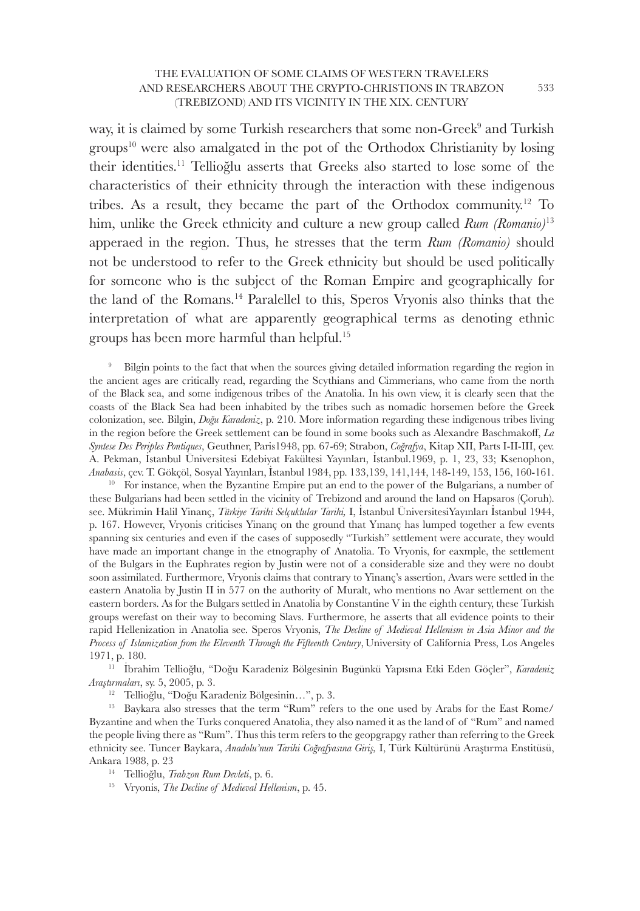way, it is claimed by some Turkish researchers that some non-Greek $^9$  and Turkish groups<sup>10</sup> were also amalgated in the pot of the Orthodox Christianity by losing their identities.<sup>11</sup> Tellioğlu asserts that Greeks also started to lose some of the characteristics of their ethnicity through the interaction with these indigenous tribes. As a result, they became the part of the Orthodox community.<sup>12</sup> To him, unlike the Greek ethnicity and culture a new group called *Rum (Romanio)*<sup>13</sup> apperaed in the region. Thus, he stresses that the term *Rum (Romanio)* should not be understood to refer to the Greek ethnicity but should be used politically for someone who is the subject of the Roman Empire and geographically for the land of the Romans.<sup>14</sup> Paralellel to this, Speros Vryonis also thinks that the interpretation of what are apparently geographical terms as denoting ethnic groups has been more harmful than helpful.<sup>15</sup>

Bilgin points to the fact that when the sources giving detailed information regarding the region in the ancient ages are critically read, regarding the Scythians and Cimmerians, who came from the north of the Black sea, and some indigenous tribes of the Anatolia. In his own view, it is clearly seen that the coasts of the Black Sea had been inhabited by the tribes such as nomadic horsemen before the Greek colonization, see. Bilgin, *Doğu Karadeniz*, p. 210. More information regarding these indigenous tribes living in the region before the Greek settlement can be found in some books such as Alexandre Baschmakoff, *La Syntese Des Periples Pontiques*, Geuthner, Paris1948, pp. 67-69; Strabon, *Coğrafya*, Kitap XII, Parts I-II-III, çev. A. Pekman, İstanbul Üniversitesi Edebiyat Fakültesi Yayınları, İstanbul.1969, p. 1, 23, 33; Ksenophon, *Anabasis*, çev. T. Gökçöl, Sosyal Yayınları, İstanbul 1984, pp. 133,139, 141,144, 148-149, 153, 156, 160-161.

 $10$  For instance, when the Byzantine Empire put an end to the power of the Bulgarians, a number of these Bulgarians had been settled in the vicinity of Trebizond and around the land on Hapsaros (Çoruh). see. Mükrimin Halil Yinanç, *Türkiye Tarihi Selçuklular Tarihi,* I, İstanbul ÜniversitesiYayınları İstanbul 1944, p. 167. However, Vryonis criticises Yinanç on the ground that Yınanç has lumped together a few events spanning six centuries and even if the cases of supposedly "Turkish" settlement were accurate, they would have made an important change in the etnography of Anatolia. To Vryonis, for eaxmple, the settlement of the Bulgars in the Euphrates region by Justin were not of a considerable size and they were no doubt soon assimilated. Furthermore, Vryonis claims that contrary to Yinanç's assertion, Avars were settled in the eastern Anatolia by Justin II in 577 on the authority of Muralt, who mentions no Avar settlement on the eastern borders. As for the Bulgars settled in Anatolia by Constantine V in the eighth century, these Turkish groups werefast on their way to becoming Slavs. Furthermore, he asserts that all evidence points to their rapid Hellenization in Anatolia see. Speros Vryonis, *The Decline of Medieval Hellenism in Asia Minor and the Process of Islamization from the Eleventh Through the Fifteenth Century*,University of California Press, Los Angeles 1971, p. 180.

<sup>11</sup>İbrahim Tellioğlu, "Doğu Karadeniz Bölgesinin Bugünkü Yapısına Etki Eden Göçler", *Karadeniz Araştırmaları*, sy. 5, 2005, p. 3.

<sup>12</sup> Tellioğlu, "Doğu Karadeniz Bölgesinin...", p. 3.

<sup>13</sup> Baykara also stresses that the term "Rum" refers to the one used by Arabs for the East Rome/ Byzantine and when the Turks conquered Anatolia, they also named it as the land of of "Rum" and named the people living there as "Rum". Thus this term refers to the geopgrapgy rather than referring to the Greek ethnicity see. Tuncer Baykara, *Anadolu'nun Tarihi Coğrafyasına Giriş,* I, Türk Kültürünü Araştırma Enstitüsü, Ankara 1988, p. 23

<sup>14</sup>Tellioğlu, *Trabzon Rum Devleti*, p. 6.

<sup>15</sup> Vryonis, *The Decline of Medieval Hellenism*, p. 45.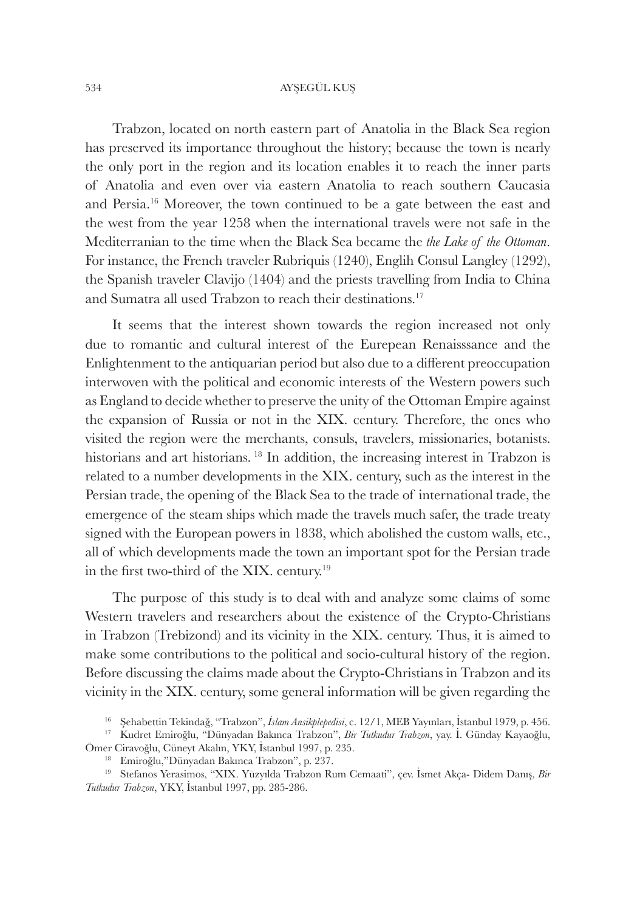Trabzon, located on north eastern part of Anatolia in the Black Sea region has preserved its importance throughout the history; because the town is nearly the only port in the region and its location enables it to reach the inner parts of Anatolia and even over via eastern Anatolia to reach southern Caucasia and Persia.<sup>16</sup> Moreover, the town continued to be a gate between the east and the west from the year 1258 when the international travels were not safe in the Mediterranian to the time when the Black Sea became the *the Lake of the Ottoman*. For instance, the French traveler Rubriquis (1240), Englih Consul Langley (1292), the Spanish traveler Clavijo (1404) and the priests travelling from India to China and Sumatra all used Trabzon to reach their destinations.<sup>17</sup>

It seems that the interest shown towards the region increased not only due to romantic and cultural interest of the Eurepean Renaisssance and the Enlightenment to the antiquarian period but also due to a different preoccupation interwoven with the political and economic interests of the Western powers such as England to decide whether to preserve the unity of the Ottoman Empire against the expansion of Russia or not in the XIX. century. Therefore, the ones who visited the region were the merchants, consuls, travelers, missionaries, botanists. historians and art historians.<sup>18</sup> In addition, the increasing interest in Trabzon is related to a number developments in the XIX. century, such as the interest in the Persian trade, the opening of the Black Sea to the trade of international trade, the emergence of the steam ships which made the travels much safer, the trade treaty signed with the European powers in 1838, which abolished the custom walls, etc., all of which developments made the town an important spot for the Persian trade in the first two-third of the XIX. century.<sup>19</sup>

The purpose of this study is to deal with and analyze some claims of some Western travelers and researchers about the existence of the Crypto-Christians in Trabzon (Trebizond) and its vicinity in the XIX. century. Thus, it is aimed to make some contributions to the political and socio-cultural history of the region. Before discussing the claims made about the Crypto-Christians in Trabzon and its vicinity in the XIX. century, some general information will be given regarding the

<sup>16</sup>Şehabettin Tekindağ, "Trabzon", *İslam Ansikplepedisi*, c. 12/1, MEB Yayınları, İstanbul 1979, p. 456.

<sup>17</sup>Kudret Emiroğlu, "Dünyadan Bakınca Trabzon", *Bir Tutkudur Trabzon*, yay. İ. Günday Kayaoğlu, Ömer Ciravoğlu, Cüneyt Akalın, YKY, İstanbul 1997, p. 235.

<sup>18</sup>Emiroğlu,"Dünyadan Bakınca Trabzon", p. 237.

<sup>&</sup>lt;sup>19</sup> Stefanos Yerasimos, "XIX. Yüzyılda Trabzon Rum Cemaati", çev. İsmet Akça- Didem Danış, *Bir Tutkudur Trabzon*, YKY, İstanbul 1997, pp. 285-286.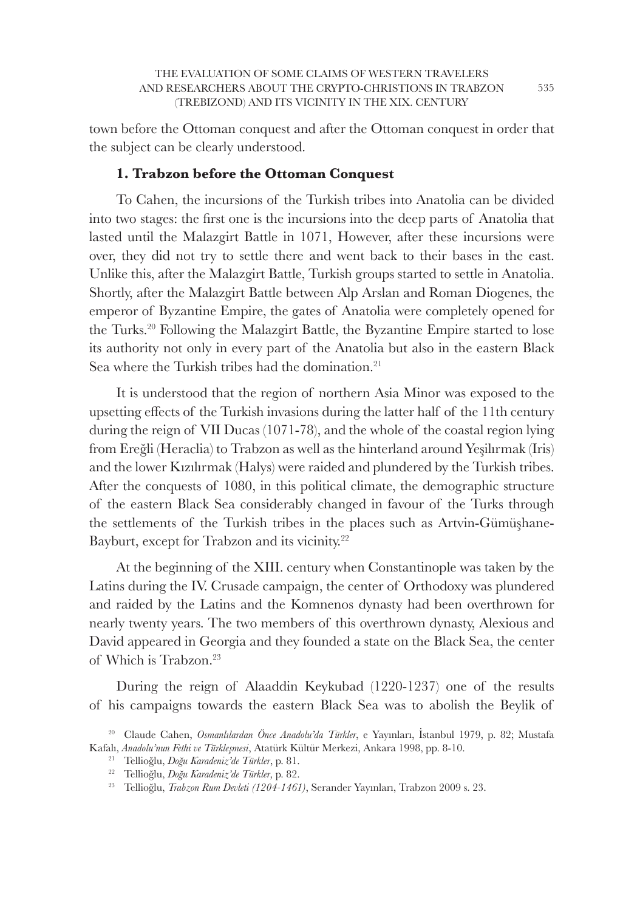town before the Ottoman conquest and after the Ottoman conquest in order that the subject can be clearly understood.

## **1. Trabzon before the Ottoman Conquest**

To Cahen, the incursions of the Turkish tribes into Anatolia can be divided into two stages: the first one is the incursions into the deep parts of Anatolia that lasted until the Malazgirt Battle in 1071, However, after these incursions were over, they did not try to settle there and went back to their bases in the east. Unlike this, after the Malazgirt Battle, Turkish groups started to settle in Anatolia. Shortly, after the Malazgirt Battle between Alp Arslan and Roman Diogenes, the emperor of Byzantine Empire, the gates of Anatolia were completely opened for the Turks.<sup>20</sup> Following the Malazgirt Battle, the Byzantine Empire started to lose its authority not only in every part of the Anatolia but also in the eastern Black Sea where the Turkish tribes had the domination.<sup>21</sup>

It is understood that the region of northern Asia Minor was exposed to the upsetting effects of the Turkish invasions during the latter half of the 11th century during the reign of VII Ducas (1071-78), and the whole of the coastal region lying from Ereğli (Heraclia) to Trabzon as well as the hinterland around Yeşilırmak (Iris) and the lower Kızılırmak (Halys) were raided and plundered by the Turkish tribes. After the conquests of 1080, in this political climate, the demographic structure of the eastern Black Sea considerably changed in favour of the Turks through the settlements of the Turkish tribes in the places such as Artvin-Gümüşhane-Bayburt, except for Trabzon and its vicinity.<sup>22</sup>

At the beginning of the XIII. century when Constantinople was taken by the Latins during the IV. Crusade campaign, the center of Orthodoxy was plundered and raided by the Latins and the Komnenos dynasty had been overthrown for nearly twenty years. The two members of this overthrown dynasty, Alexious and David appeared in Georgia and they founded a state on the Black Sea, the center of Which is Trabzon.<sup>23</sup>

During the reign of Alaaddin Keykubad (1220-1237) one of the results of his campaigns towards the eastern Black Sea was to abolish the Beylik of

<sup>20</sup>Claude Cahen, *Osmanlılardan Önce Anadolu'da Türkler*, e Yayınları, İstanbul 1979, p. 82; Mustafa Kafalı, *Anadolu'nun Fethi ve Türkleşmesi*, Atatürk Kültür Merkezi, Ankara 1998, pp. 8-10.

<sup>21</sup>Tellioğlu, *Doğu Karadeniz'de Türkler*, p. 81.

<sup>22</sup>Tellioğlu, *Doğu Karadeniz'de Türkler*, p. 82.

<sup>23</sup> Tellioğlu, *Trabzon Rum Devleti (1204-1461)*, Serander Yayınları, Trabzon 2009 s. 23.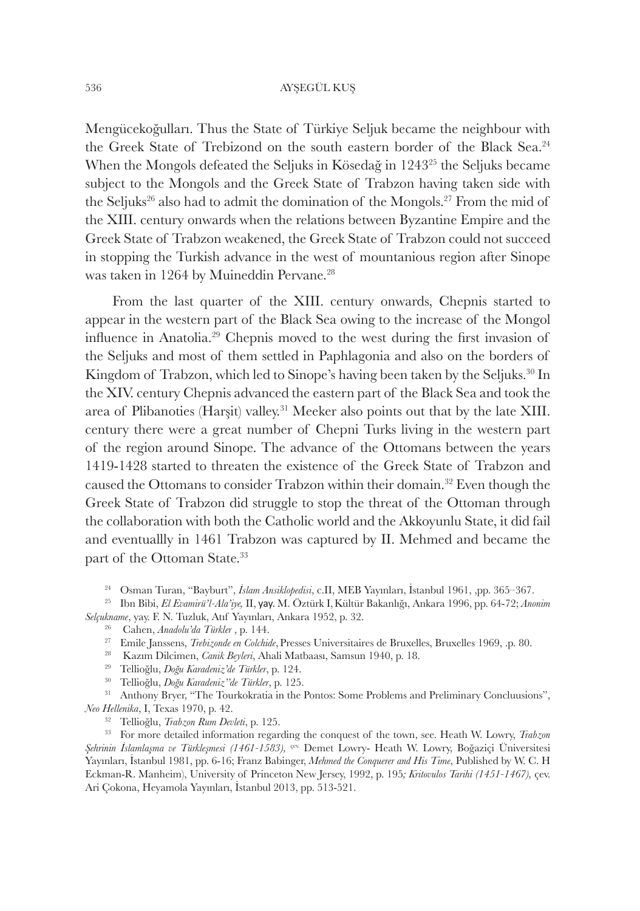Mengücekoğulları. Thus the State of Türkiye Seljuk became the neighbour with the Greek State of Trebizond on the south eastern border of the Black Sea.<sup>24</sup> When the Mongols defeated the Seljuks in Kösedağ in 1243<sup>25</sup> the Seljuks became subject to the Mongols and the Greek State of Trabzon having taken side with the Seljuks<sup>26</sup> also had to admit the domination of the Mongols.<sup>27</sup> From the mid of the XIII. century onwards when the relations between Byzantine Empire and the Greek State of Trabzon weakened, the Greek State of Trabzon could not succeed in stopping the Turkish advance in the west of mountanious region after Sinope was taken in 1264 by Muineddin Pervane.<sup>28</sup>

From the last quarter of the XIII. century onwards, Chepnis started to appear in the western part of the Black Sea owing to the increase of the Mongol influence in Anatolia.<sup>29</sup> Chepnis moved to the west during the first invasion of the Seljuks and most of them settled in Paphlagonia and also on the borders of Kingdom of Trabzon, which led to Sinope's having been taken by the Seljuks.<sup>30</sup> In the XIV. century Chepnis advanced the eastern part of the Black Sea and took the area of Plibanoties (Harşit) valley.<sup>31</sup> Meeker also points out that by the late XIII. century there were a great number of Chepni Turks living in the western part of the region around Sinope. The advance of the Ottomans between the years 1419-1428 started to threaten the existence of the Greek State of Trabzon and caused the Ottomans to consider Trabzon within their domain.<sup>32</sup> Even though the Greek State of Trabzon did struggle to stop the threat of the Ottoman through the collaboration with both the Catholic world and the Akkoyunlu State, it did fail and eventuallly in 1461 Trabzon was captured by II. Mehmed and became the part of the Ottoman State.<sup>33</sup>

<sup>24</sup> Osman Turan, "Bayburt", İslam Ansiklopedisi, c.II, MEB Yayınları, İstanbul 1961, ,pp. 365–367.

<sup>25</sup>Ibn Bibi, *El Evamirü'l-Ala'iye,* II, yay. M. Öztürk I,Kültür Bakanlığı, Ankara 1996, pp. 64-72; *Anonim Selçukname*, yay. F. N. Tuzluk, Atıf Yayınları, Ankara 1952, p. 32.

- <sup>26</sup> Cahen, *Anadolu'da Türkler* , p. 144.
- <sup>27</sup> Emile Janssens, *Trebizonde en Colchide*, Presses Universitaires de Bruxelles, Bruxelles 1969, .p. 80.
- <sup>28</sup> Kazım Dilcimen, *Canik Beyleri*, Ahali Matbaası, Samsun 1940, p. 18.
- <sup>29</sup>Tellioğlu, *Doğu Karadeniz'de Türkler*, p. 124.
- <sup>30</sup>Tellioğlu, *Doğu Karadeniz''de Türkler*, p. 125.

<sup>31</sup> Anthony Bryer, "The Tourkokratia in the Pontos: Some Problems and Preliminary Concluusions", *Neo Hellenika*, I, Texas 1970, p. 42.

<sup>32</sup> Tellioğlu, *Trabzon Rum Devleti*, p. 125.

<sup>33</sup> For more detailed information regarding the conquest of the town, see. Heath W. Lowry, *Trabzon Şehrinin İslamlaşma ve Türkleşmesi (1461-1583),* çev. Demet Lowry- Heath W. Lowry, Boğaziçi Üniversitesi Yayınları, İstanbul 1981, pp. 6-16; Franz Babinger, *Mehmed the Conquerer and His Time*, Published by W. C. H Eckman-R. Manheim), University of Princeton New Jersey, 1992, p. 195*; Kritovulos Tarihi (1451-1467),* çev. Ari Çokona, Heyamola Yayınları, İstanbul 2013, pp. 513-521.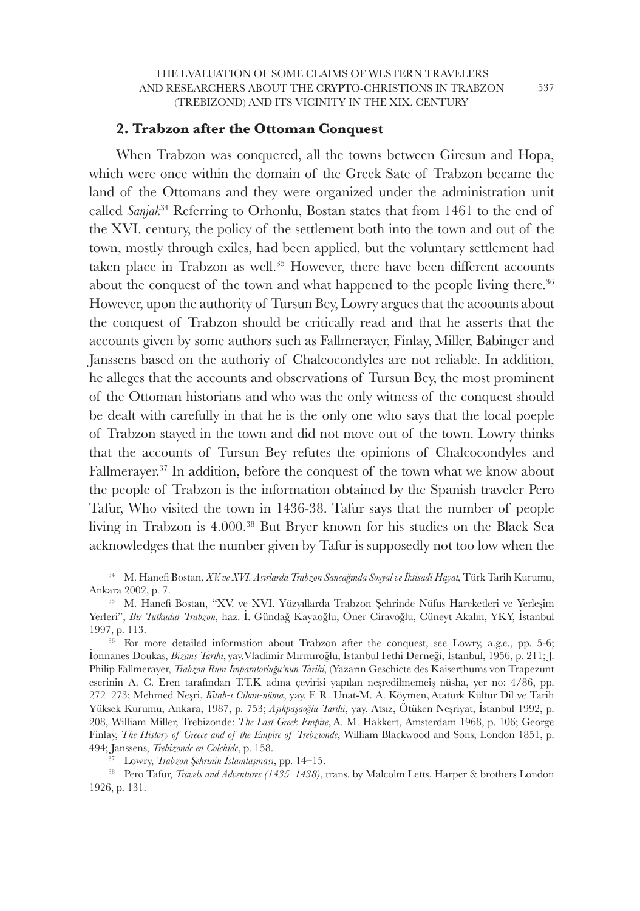## **2. Trabzon after the Ottoman Conquest**

When Trabzon was conquered, all the towns between Giresun and Hopa, which were once within the domain of the Greek Sate of Trabzon became the land of the Ottomans and they were organized under the administration unit called *Sanjak*<sup>34</sup> Referring to Orhonlu, Bostan states that from 1461 to the end of the XVI. century, the policy of the settlement both into the town and out of the town, mostly through exiles, had been applied, but the voluntary settlement had taken place in Trabzon as well.<sup>35</sup> However, there have been different accounts about the conquest of the town and what happened to the people living there.<sup>36</sup> However, upon the authority of Tursun Bey, Lowry argues that the acoounts about the conquest of Trabzon should be critically read and that he asserts that the accounts given by some authors such as Fallmerayer, Finlay, Miller, Babinger and Janssens based on the authoriy of Chalcocondyles are not reliable. In addition, he alleges that the accounts and observations of Tursun Bey, the most prominent of the Ottoman historians and who was the only witness of the conquest should be dealt with carefully in that he is the only one who says that the local poeple of Trabzon stayed in the town and did not move out of the town. Lowry thinks that the accounts of Tursun Bey refutes the opinions of Chalcocondyles and Fallmerayer.<sup>37</sup> In addition, before the conquest of the town what we know about the people of Trabzon is the information obtained by the Spanish traveler Pero Tafur, Who visited the town in 1436-38. Tafur says that the number of people living in Trabzon is 4.000.<sup>38</sup> But Bryer known for his studies on the Black Sea acknowledges that the number given by Tafur is supposedly not too low when the

<sup>34</sup>M. Hanefi Bostan, *XV. ve XVI. Asırlarda Trabzon Sancağında Sosyal ve İktisadi Hayat,* Türk Tarih Kurumu, Ankara 2002, p. 7.

<sup>35</sup>M. Hanefi Bostan, "XV. ve XVI. Yüzyıllarda Trabzon Şehrinde Nüfus Hareketleri ve Yerleşim Yerleri", *Bir Tutkudur Trabzon*, haz. İ. Gündağ Kayaoğlu, Öner Ciravoğlu, Cüneyt Akalın, YKY, İstanbul 1997, p. 113.

 $36$  For more detailed informstion about Trabzon after the conquest, see Lowry, a.g.e., pp. 5-6; İonnanes Doukas, *Bizans Tarihi*, yay.Vladimir Mırmıroğlu, İstanbul Fethi Derneği, İstanbul, 1956, p. 211; J. Philip Fallmerayer, *Trabzon Rum İmparatorluğu'nun Tarihi,* (Yazarın Geschicte des Kaiserthums von Trapezunt eserinin A. C. Eren tarafından T.T.K adına çevirisi yapılan neşredilmemeiş nüsha, yer no: 4/86, pp. 272–273; Mehmed Neşri, *Kitab-ı Cihan-nüma*, yay. F. R. Unat-M. A. Köymen, Atatürk Kültür Dil ve Tarih Yüksek Kurumu, Ankara, 1987, p. 753; *Aşıkpaşaoğlu Tarihi*, yay. Atsız, Ötüken Neşriyat, İstanbul 1992, p. 208, William Miller, Trebizonde: *The Last Greek Empire*, A. M. Hakkert, Amsterdam 1968, p. 106; George Finlay, *The History of Greece and of the Empire of Trebzionde*, William Blackwood and Sons, London 1851, p. 494; Janssens, *Trebizonde en Colchide*, p. 158.

<sup>37</sup>Lowry, *Trabzon Şehrinin İslamlaşması*, pp. 14–15.

<sup>38</sup> Pero Tafur, *Travels and Adventures (1435–1438)*, trans. by Malcolm Letts, Harper & brothers London 1926, p. 131.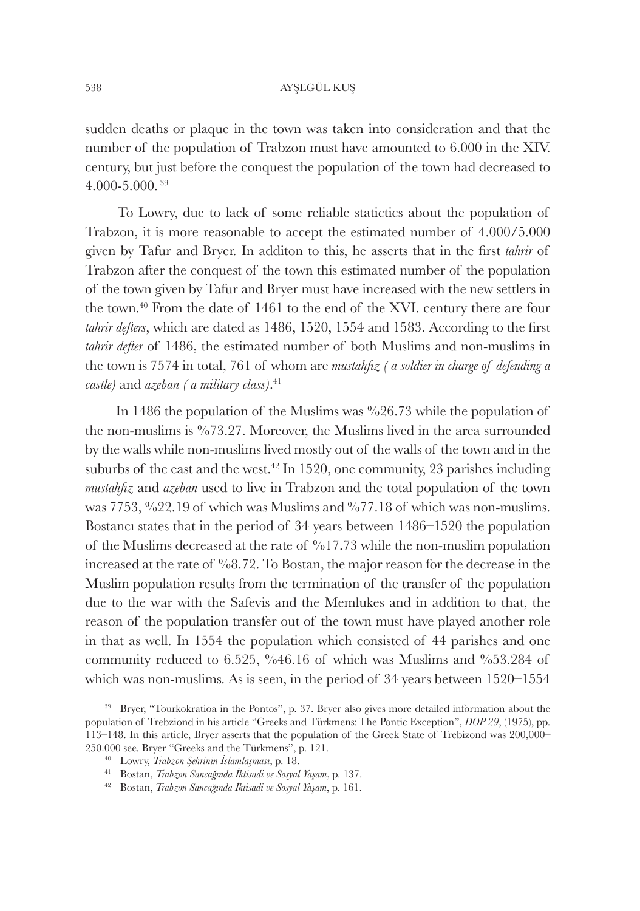sudden deaths or plaque in the town was taken into consideration and that the number of the population of Trabzon must have amounted to 6.000 in the XIV. century, but just before the conquest the population of the town had decreased to 4.000-5.000.<sup>39</sup>

 To Lowry, due to lack of some reliable statictics about the population of Trabzon, it is more reasonable to accept the estimated number of 4.000/5.000 given by Tafur and Bryer. In additon to this, he asserts that in the first *tahrir* of Trabzon after the conquest of the town this estimated number of the population of the town given by Tafur and Bryer must have increased with the new settlers in the town.<sup>40</sup> From the date of 1461 to the end of the XVI. century there are four *tahrir defters*, which are dated as 1486, 1520, 1554 and 1583. According to the first *tahrir defter* of 1486, the estimated number of both Muslims and non-muslims in the town is 7574 in total, 761 of whom are *mustahfız ( a soldier in charge of defending a castle)* and *azeban ( a military class)*. 41

In 1486 the population of the Muslims was  $\frac{626.73}{1000}$  while the population of the non-muslims is %73.27. Moreover, the Muslims lived in the area surrounded by the walls while non-muslims lived mostly out of the walls of the town and in the suburbs of the east and the west.<sup>42</sup> In 1520, one community, 23 parishes including *mustahfız* and *azeban* used to live in Trabzon and the total population of the town was  $7753, \%22.19$  of which was Muslims and  $%77.18$  of which was non-muslims. Bostancı states that in the period of 34 years between 1486–1520 the population of the Muslims decreased at the rate of  $\frac{6}{17.73}$  while the non-muslim population increased at the rate of %8.72. To Bostan, the major reason for the decrease in the Muslim population results from the termination of the transfer of the population due to the war with the Safevis and the Memlukes and in addition to that, the reason of the population transfer out of the town must have played another role in that as well. In 1554 the population which consisted of 44 parishes and one community reduced to 6.525, %46.16 of which was Muslims and %53.284 of which was non-muslims. As is seen, in the period of 34 years between 1520–1554

- <sup>41</sup>Bostan, *Trabzon Sancağında İktisadi ve Sosyal Yaşam*, p. 137.
- <sup>42</sup>Bostan, *Trabzon Sancağında İktisadi ve Sosyal Yaşam*, p. 161.

<sup>&</sup>lt;sup>39</sup> Bryer, "Tourkokratioa in the Pontos", p. 37. Bryer also gives more detailed information about the population of Trebziond in his article "Greeks and Türkmens:The Pontic Exception", *DOP 29*, (1975), pp. 113–148. In this article, Bryer asserts that the population of the Greek State of Trebizond was 200,000– 250.000 see. Bryer "Greeks and the Türkmens", p. 121.

<sup>40</sup>Lowry, *Trabzon Şehrinin İslamlaşması*, p. 18.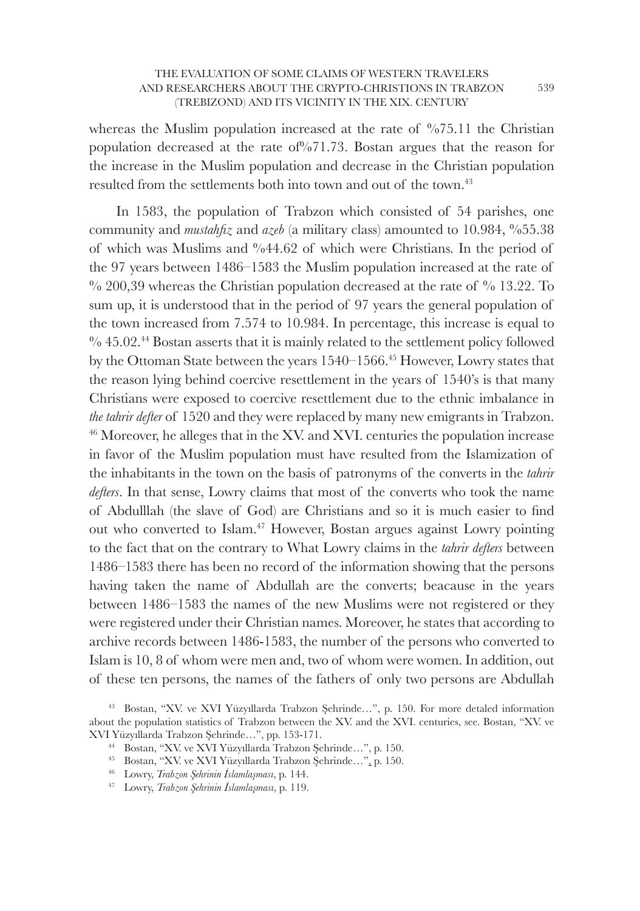whereas the Muslim population increased at the rate of  $\%$ 75.11 the Christian population decreased at the rate of%71.73. Bostan argues that the reason for the increase in the Muslim population and decrease in the Christian population resulted from the settlements both into town and out of the town.<sup>43</sup>

In 1583, the population of Trabzon which consisted of 54 parishes, one community and *mustahfız* and *azeb* (a military class) amounted to 10.984, %55.38 of which was Muslims and %44.62 of which were Christians. In the period of the 97 years between 1486–1583 the Muslim population increased at the rate of  $\%$  200,39 whereas the Christian population decreased at the rate of  $\%$  13.22. To sum up, it is understood that in the period of 97 years the general population of the town increased from 7.574 to 10.984. In percentage, this increase is equal to % 45.02.<sup>44</sup> Bostan asserts that it is mainly related to the settlement policy followed by the Ottoman State between the years 1540–1566.<sup>45</sup> However, Lowry states that the reason lying behind coercive resettlement in the years of 1540's is that many Christians were exposed to coercive resettlement due to the ethnic imbalance in *the tahrir defter* of 1520 and they were replaced by many new emigrants in Trabzon. <sup>46</sup> Moreover, he alleges that in the XV. and XVI. centuries the population increase in favor of the Muslim population must have resulted from the Islamization of the inhabitants in the town on the basis of patronyms of the converts in the *tahrir defters*. In that sense, Lowry claims that most of the converts who took the name of Abdulllah (the slave of God) are Christians and so it is much easier to find out who converted to Islam.<sup>47</sup> However, Bostan argues against Lowry pointing to the fact that on the contrary to What Lowry claims in the *tahrir defters* between 1486–1583 there has been no record of the information showing that the persons having taken the name of Abdullah are the converts; beacause in the years between 1486–1583 the names of the new Muslims were not registered or they were registered under their Christian names. Moreover, he states that according to archive records between 1486-1583, the number of the persons who converted to Islam is 10, 8 of whom were men and, two of whom were women. In addition, out of these ten persons, the names of the fathers of only two persons are Abdullah

<sup>43</sup>Bostan, "XV. ve XVI Yüzyıllarda Trabzon Şehrinde…", p. 150. For more detaled information about the population statistics of Trabzon between the XV. and the XVI. centuries, see. Bostan, "XV. ve XVI Yüzyıllarda Trabzon Şehrinde…", pp. 153-171.

<sup>44</sup>Bostan, "XV. ve XVI Yüzyıllarda Trabzon Şehrinde…", p. 150.

<sup>45</sup>Bostan, "XV. ve XVI Yüzyıllarda Trabzon Şehrinde…", p. 150.

<sup>46</sup>Lowry, *Trabzon Şehrinin İslamlaşması*, p. 144.

<sup>47</sup> Lowry, *Trabzon Şehrinin İslamlaşması*, p. 119.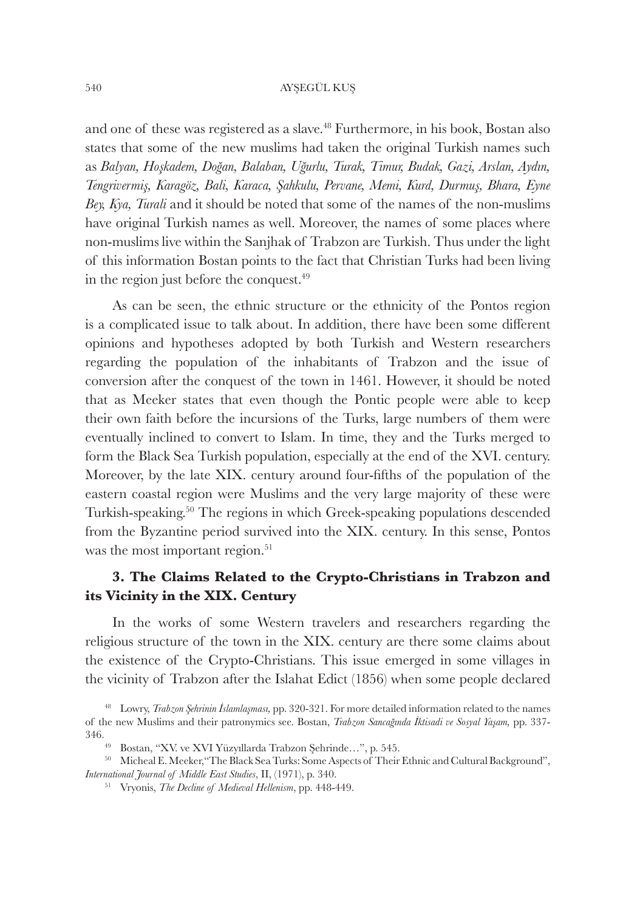and one of these was registered as a slave.<sup>48</sup> Furthermore, in his book, Bostan also states that some of the new muslims had taken the original Turkish names such as *Balyan, Hoşkadem, Doğan, Balaban, Uğurlu, Turak, Timur, Budak, Gazi, Arslan, Aydın, Tengrivermiş, Karagöz, Bali, Karaca, Şahkulu, Pervane, Memi, Kurd, Durmuş, Bhara, Eyne Bey, Kya, Turali* and it should be noted that some of the names of the non-muslims have original Turkish names as well. Moreover, the names of some places where non-muslims live within the Sanjhak of Trabzon are Turkish. Thus under the light of this information Bostan points to the fact that Christian Turks had been living in the region just before the conquest.<sup>49</sup>

As can be seen, the ethnic structure or the ethnicity of the Pontos region is a complicated issue to talk about. In addition, there have been some different opinions and hypotheses adopted by both Turkish and Western researchers regarding the population of the inhabitants of Trabzon and the issue of conversion after the conquest of the town in 1461. However, it should be noted that as Meeker states that even though the Pontic people were able to keep their own faith before the incursions of the Turks, large numbers of them were eventually inclined to convert to Islam. In time, they and the Turks merged to form the Black Sea Turkish population, especially at the end of the XVI. century. Moreover, by the late XIX. century around four-fifths of the population of the eastern coastal region were Muslims and the very large majority of these were Turkish-speaking.<sup>50</sup> The regions in which Greek-speaking populations descended from the Byzantine period survived into the XIX. century. In this sense, Pontos was the most important region.<sup>51</sup>

## **3. The Claims Related to the Crypto-Christians in Trabzon and its Vicinity in the XIX. Century**

In the works of some Western travelers and researchers regarding the religious structure of the town in the XIX. century are there some claims about the existence of the Crypto-Christians. This issue emerged in some villages in the vicinity of Trabzon after the Islahat Edict (1856) when some people declared

- <sup>49</sup> Bostan, "XV. ve XVI Yüzyıllarda Trabzon Şehrinde...", p. 545.
- <sup>50</sup> Micheal E. Meeker, "The Black Sea Turks: Some Aspects of Their Ethnic and Cultural Background", *International Journal of Middle East Studies*, II, (1971), p. 340.
	- 51 Vryonis, *The Decline of Medieval Hellenism*, pp. 448-449.

<sup>48</sup>Lowry, *Trabzon Şehrinin İslamlaşması,* pp. 320-321. For more detailed information related to the names of the new Muslims and their patronymics see. Bostan, *Trabzon Sancağında İktisadi ve Sosyal Yaşam,* pp. 337- 346.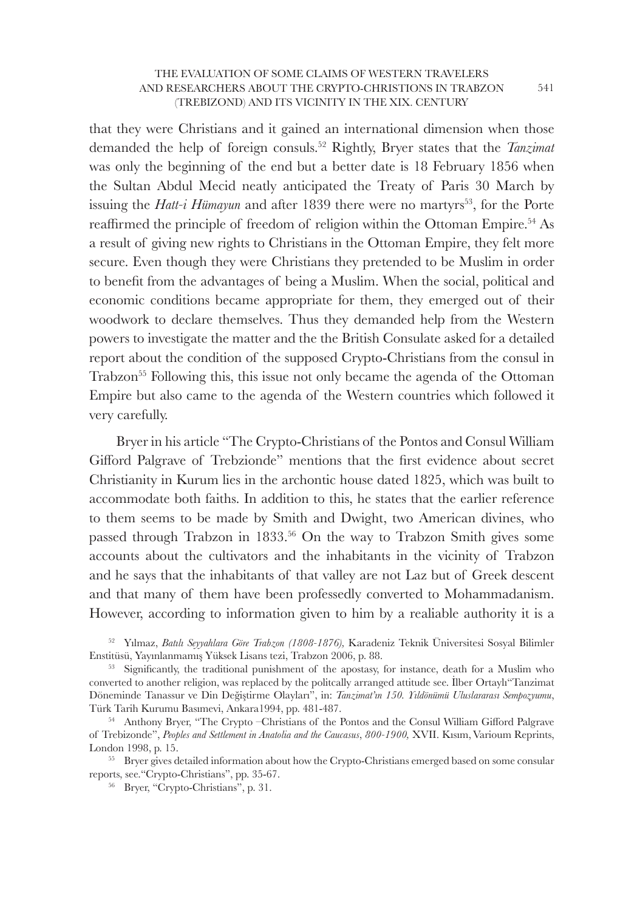that they were Christians and it gained an international dimension when those demanded the help of foreign consuls.<sup>52</sup> Rightly, Bryer states that the *Tanzimat* was only the beginning of the end but a better date is 18 February 1856 when the Sultan Abdul Mecid neatly anticipated the Treaty of Paris 30 March by issuing the *Hatt-i Hümayun* and after 1839 there were no martyrs<sup>53</sup>, for the Porte reaffirmed the principle of freedom of religion within the Ottoman Empire.<sup>54</sup> As a result of giving new rights to Christians in the Ottoman Empire, they felt more secure. Even though they were Christians they pretended to be Muslim in order to benefit from the advantages of being a Muslim. When the social, political and economic conditions became appropriate for them, they emerged out of their woodwork to declare themselves. Thus they demanded help from the Western powers to investigate the matter and the the British Consulate asked for a detailed report about the condition of the supposed Crypto-Christians from the consul in Trabzon<sup>55</sup> Following this, this issue not only became the agenda of the Ottoman Empire but also came to the agenda of the Western countries which followed it very carefully.

Bryer in his article "The Crypto-Christians of the Pontos and Consul William Gifford Palgrave of Trebzionde" mentions that the first evidence about secret Christianity in Kurum lies in the archontic house dated 1825, which was built to accommodate both faiths. In addition to this, he states that the earlier reference to them seems to be made by Smith and Dwight, two American divines, who passed through Trabzon in 1833.<sup>56</sup> On the way to Trabzon Smith gives some accounts about the cultivators and the inhabitants in the vicinity of Trabzon and he says that the inhabitants of that valley are not Laz but of Greek descent and that many of them have been professedly converted to Mohammadanism. However, according to information given to him by a realiable authority it is a

<sup>52</sup>Yılmaz, *Batılı Seyyahlara Göre Trabzon (1808-1876),* Karadeniz Teknik Üniversitesi Sosyal Bilimler Enstitüsü, Yayınlanmamış Yüksek Lisans tezi, Trabzon 2006, p. 88.

<sup>&</sup>lt;sup>53</sup> Significantly, the traditional punishment of the apostasy, for instance, death for a Muslim who converted to another religion, was replaced by the politcally arranged attitude see. İlber Ortaylı"Tanzimat Döneminde Tanassur ve Din Değiştirme Olayları", in: *Tanzimat'ın 150. Yıldönümü Uluslararası Sempozyumu*, Türk Tarih Kurumu Basımevi, Ankara1994, pp. 481-487.

<sup>&</sup>lt;sup>54</sup> Anthony Bryer, "The Crypto –Christians of the Pontos and the Consul William Gifford Palgrave of Trebizonde", *Peoples and Settlement in Anatolia and the Caucasus*, *800-1900,* XVII. Kısım, Varioum Reprints, London 1998, p. 15.

<sup>55</sup> Bryer gives detailed information about how the Crypto-Christians emerged based on some consular reports, see."Crypto-Christians", pp. 35-67.

<sup>56</sup> Bryer, "Crypto-Christians", p. 31.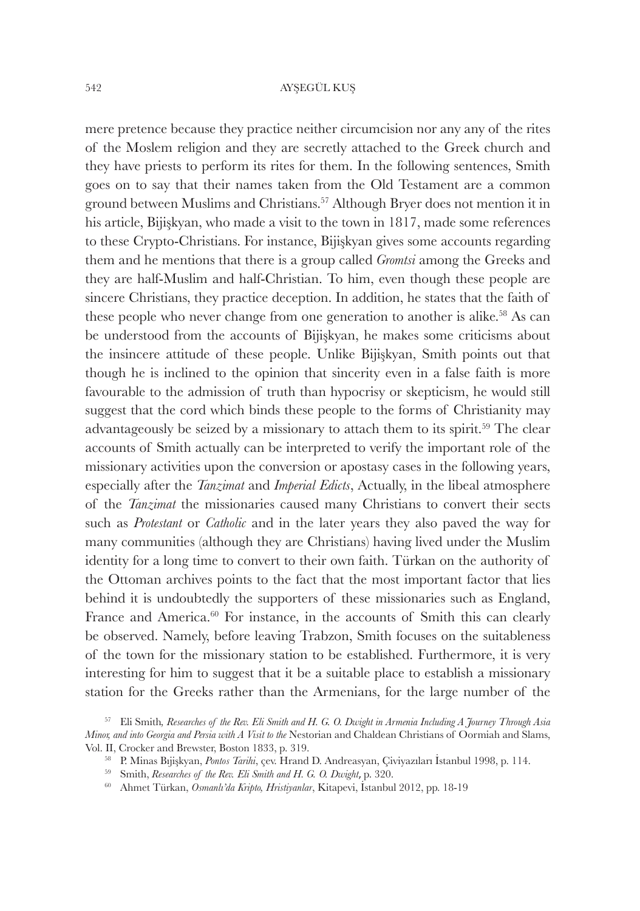mere pretence because they practice neither circumcision nor any any of the rites of the Moslem religion and they are secretly attached to the Greek church and they have priests to perform its rites for them. In the following sentences, Smith goes on to say that their names taken from the Old Testament are a common ground between Muslims and Christians.<sup>57</sup> Although Bryer does not mention it in his article, Bijişkyan, who made a visit to the town in 1817, made some references to these Crypto-Christians. For instance, Bijişkyan gives some accounts regarding them and he mentions that there is a group called *Gromtsi* among the Greeks and they are half-Muslim and half-Christian. To him, even though these people are sincere Christians, they practice deception. In addition, he states that the faith of these people who never change from one generation to another is alike.<sup>58</sup> As can be understood from the accounts of Bijişkyan, he makes some criticisms about the insincere attitude of these people. Unlike Bijişkyan, Smith points out that though he is inclined to the opinion that sincerity even in a false faith is more favourable to the admission of truth than hypocrisy or skepticism, he would still suggest that the cord which binds these people to the forms of Christianity may advantageously be seized by a missionary to attach them to its spirit.<sup>59</sup> The clear accounts of Smith actually can be interpreted to verify the important role of the missionary activities upon the conversion or apostasy cases in the following years, especially after the *Tanzimat* and *Imperial Edicts*, Actually, in the libeal atmosphere of the *Tanzimat* the missionaries caused many Christians to convert their sects such as *Protestant* or *Catholic* and in the later years they also paved the way for many communities (although they are Christians) having lived under the Muslim identity for a long time to convert to their own faith. Türkan on the authority of the Ottoman archives points to the fact that the most important factor that lies behind it is undoubtedly the supporters of these missionaries such as England, France and America.<sup>60</sup> For instance, in the accounts of Smith this can clearly be observed. Namely, before leaving Trabzon, Smith focuses on the suitableness of the town for the missionary station to be established. Furthermore, it is very interesting for him to suggest that it be a suitable place to establish a missionary station for the Greeks rather than the Armenians, for the large number of the

<sup>57</sup>Eli Smith*, Researches of the Rev. Eli Smith and H. G. O. Dwight in Armenia Including A Journey Through Asia Minor, and into Georgia and Persia with A Visit to the* Nestorian and Chaldean Christians of Oormiah and Slams, Vol. II, Crocker and Brewster, Boston 1833, p. 319.

<sup>&</sup>lt;sup>58</sup> P. Minas Bıjişkyan, *Pontos Tarihi*, çev. Hrand D. Andreasyan, Çiviyazıları İstanbul 1998, p. 114.

<sup>&</sup>lt;sup>59</sup> Smith, *Researches of the Rev. Eli Smith and H. G. O. Dwight*, p. 320.

<sup>60</sup> Ahmet Türkan, *Osmanlı'da Kripto, Hristiyanlar*, Kitapevi, İstanbul 2012, pp. 18-19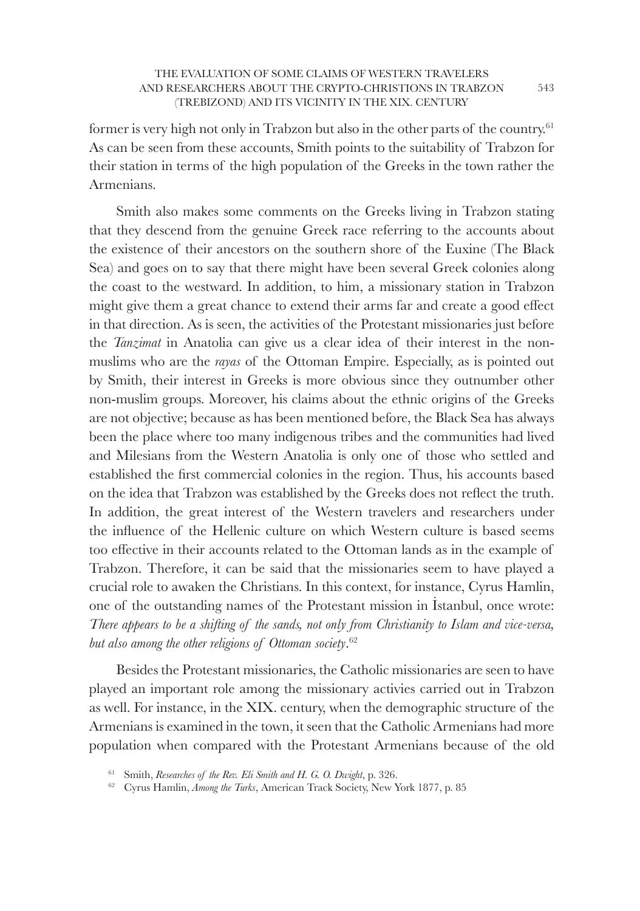former is very high not only in Trabzon but also in the other parts of the country.<sup>61</sup> As can be seen from these accounts, Smith points to the suitability of Trabzon for their station in terms of the high population of the Greeks in the town rather the Armenians.

Smith also makes some comments on the Greeks living in Trabzon stating that they descend from the genuine Greek race referring to the accounts about the existence of their ancestors on the southern shore of the Euxine (The Black Sea) and goes on to say that there might have been several Greek colonies along the coast to the westward. In addition, to him, a missionary station in Trabzon might give them a great chance to extend their arms far and create a good effect in that direction. As is seen, the activities of the Protestant missionaries just before the *Tanzimat* in Anatolia can give us a clear idea of their interest in the nonmuslims who are the *rayas* of the Ottoman Empire. Especially, as is pointed out by Smith, their interest in Greeks is more obvious since they outnumber other non-muslim groups. Moreover, his claims about the ethnic origins of the Greeks are not objective; because as has been mentioned before, the Black Sea has always been the place where too many indigenous tribes and the communities had lived and Milesians from the Western Anatolia is only one of those who settled and established the first commercial colonies in the region. Thus, his accounts based on the idea that Trabzon was established by the Greeks does not reflect the truth. In addition, the great interest of the Western travelers and researchers under the influence of the Hellenic culture on which Western culture is based seems too effective in their accounts related to the Ottoman lands as in the example of Trabzon. Therefore, it can be said that the missionaries seem to have played a crucial role to awaken the Christians. In this context, for instance, Cyrus Hamlin, one of the outstanding names of the Protestant mission in İstanbul, once wrote: *There appears to be a shifting of the sands, not only from Christianity to Islam and vice-versa, but also among the other religions of Ottoman society*. 62

Besides the Protestant missionaries, the Catholic missionaries are seen to have played an important role among the missionary activies carried out in Trabzon as well. For instance, in the XIX. century, when the demographic structure of the Armenians is examined in the town, it seen that the Catholic Armenians had more population when compared with the Protestant Armenians because of the old

<sup>&</sup>lt;sup>61</sup> Smith, *Researches of the Rev. Eli Smith and H. G. O. Dwight*, p. 326.

<sup>62</sup> Cyrus Hamlin, *Among the Turks*, American Track Society, New York 1877, p. 85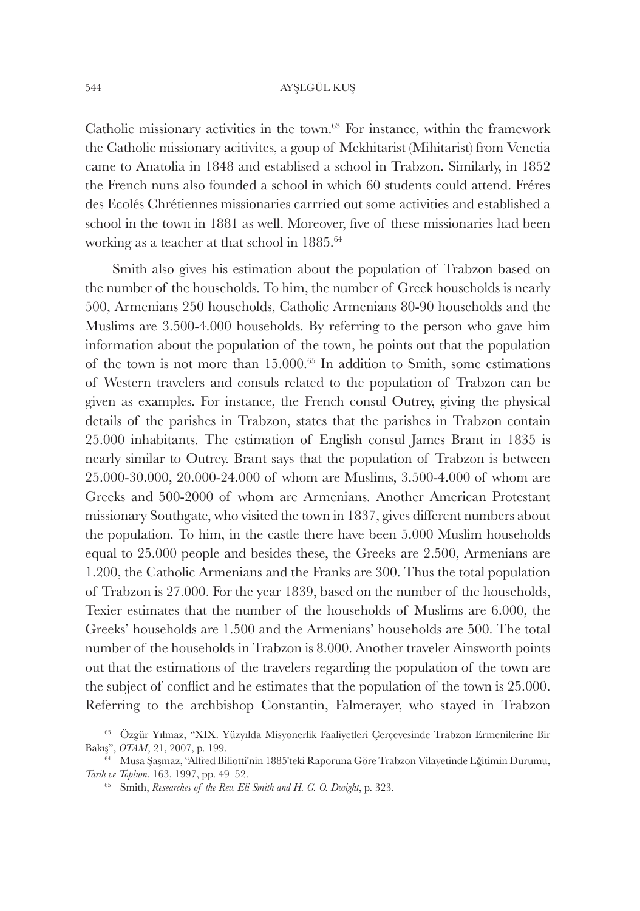Catholic missionary activities in the town. $63$  For instance, within the framework the Catholic missionary acitivites, a goup of Mekhitarist (Mihitarist) from Venetia came to Anatolia in 1848 and establised a school in Trabzon. Similarly, in 1852 the French nuns also founded a school in which 60 students could attend. Fréres des Ecolés Chrétiennes missionaries carrried out some activities and established a school in the town in 1881 as well. Moreover, five of these missionaries had been working as a teacher at that school in 1885.<sup>64</sup>

Smith also gives his estimation about the population of Trabzon based on the number of the households. To him, the number of Greek households is nearly 500, Armenians 250 households, Catholic Armenians 80-90 households and the Muslims are 3.500-4.000 households. By referring to the person who gave him information about the population of the town, he points out that the population of the town is not more than  $15.000<sup>65</sup>$  In addition to Smith, some estimations of Western travelers and consuls related to the population of Trabzon can be given as examples. For instance, the French consul Outrey, giving the physical details of the parishes in Trabzon, states that the parishes in Trabzon contain 25.000 inhabitants. The estimation of English consul James Brant in 1835 is nearly similar to Outrey. Brant says that the population of Trabzon is between 25.000-30.000, 20.000-24.000 of whom are Muslims, 3.500-4.000 of whom are Greeks and 500-2000 of whom are Armenians. Another American Protestant missionary Southgate, who visited the town in 1837, gives different numbers about the population. To him, in the castle there have been 5.000 Muslim households equal to 25.000 people and besides these, the Greeks are 2.500, Armenians are 1.200, the Catholic Armenians and the Franks are 300. Thus the total population of Trabzon is 27.000. For the year 1839, based on the number of the households, Texier estimates that the number of the households of Muslims are 6.000, the Greeks' households are 1.500 and the Armenians' households are 500. The total number of the households in Trabzon is 8.000. Another traveler Ainsworth points out that the estimations of the travelers regarding the population of the town are the subject of conflict and he estimates that the population of the town is 25.000. Referring to the archbishop Constantin, Falmerayer, who stayed in Trabzon

<sup>&</sup>lt;sup>63</sup> Özgür Yılmaz, "XIX. Yüzyılda Misyonerlik Faaliyetleri Cercevesinde Trabzon Ermenilerine Bir Bakış", *OTAM*, 21, 2007, p. 199.

<sup>&</sup>lt;sup>64</sup> Musa Şaşmaz, "Alfred Biliotti'nin 1885'teki Raporuna Göre Trabzon Vilayetinde Eğitimin Durumu, *Tarih ve Toplum*, 163, 1997, pp. 49–52.

<sup>65</sup> Smith, *Researches of the Rev. Eli Smith and H. G. O. Dwight*, p. 323.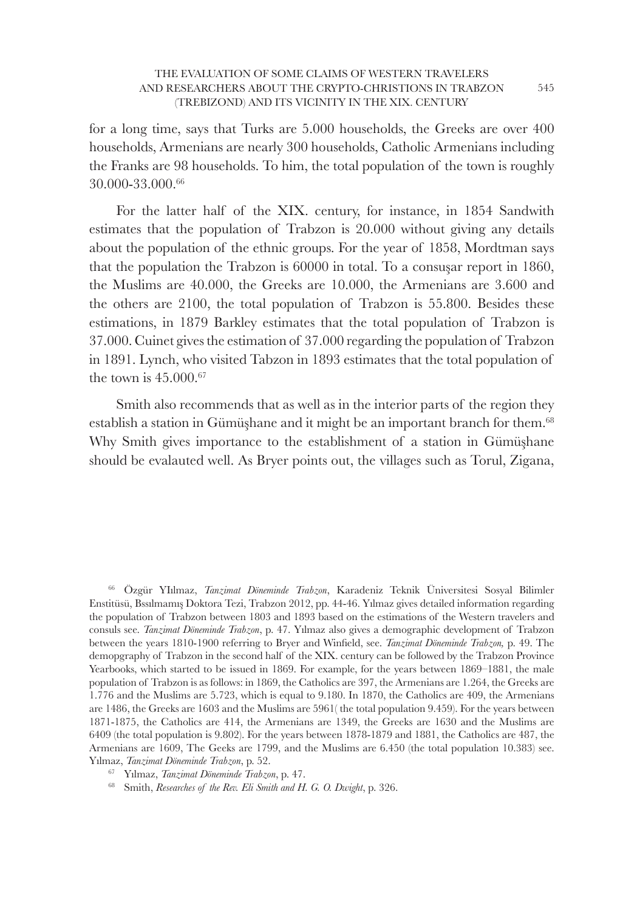for a long time, says that Turks are 5.000 households, the Greeks are over 400 households, Armenians are nearly 300 households, Catholic Armenians including the Franks are 98 households. To him, the total population of the town is roughly 30.000-33.000.<sup>66</sup>

For the latter half of the XIX. century, for instance, in 1854 Sandwith estimates that the population of Trabzon is 20.000 without giving any details about the population of the ethnic groups. For the year of 1858, Mordtman says that the population the Trabzon is 60000 in total. To a consuşar report in 1860, the Muslims are 40.000, the Greeks are 10.000, the Armenians are 3.600 and the others are 2100, the total population of Trabzon is 55.800. Besides these estimations, in 1879 Barkley estimates that the total population of Trabzon is 37.000. Cuinet gives the estimation of 37.000 regarding the population of Trabzon in 1891. Lynch, who visited Tabzon in 1893 estimates that the total population of the town is 45.000.<sup>67</sup>

Smith also recommends that as well as in the interior parts of the region they establish a station in Gümüşhane and it might be an important branch for them.<sup>68</sup> Why Smith gives importance to the establishment of a station in Gümüşhane should be evalauted well. As Bryer points out, the villages such as Torul, Zigana,

<sup>66</sup>Özgür YIılmaz, *Tanzimat Döneminde Trabzon*, Karadeniz Teknik Üniversitesi Sosyal Bilimler Enstitüsü, Bssılmamış Doktora Tezi, Trabzon 2012, pp. 44-46. Yılmaz gives detailed information regarding the population of Trabzon between 1803 and 1893 based on the estimations of the Western travelers and consuls see. *Tanzimat Döneminde Trabzon*, p. 47. Yılmaz also gives a demographic development of Trabzon between the years 1810-1900 referring to Bryer and Winfield, see. *Tanzimat Döneminde Trabzon*, p. 49. The demopgraphy of Trabzon in the second half of the XIX. century can be followed by the Trabzon Province Yearbooks, which started to be issued in 1869. For example, for the years between 1869–1881, the male population of Trabzon is as follows: in 1869, the Catholics are 397, the Armenians are 1.264, the Greeks are 1.776 and the Muslims are 5.723, which is equal to 9.180. In 1870, the Catholics are 409, the Armenians are 1486, the Greeks are 1603 and the Muslims are 5961( the total population 9.459). For the years between 1871-1875, the Catholics are 414, the Armenians are 1349, the Greeks are 1630 and the Muslims are 6409 (the total population is 9.802). For the years between 1878-1879 and 1881, the Catholics are 487, the Armenians are 1609, The Geeks are 1799, and the Muslims are 6.450 (the total population 10.383) see. Yılmaz, *Tanzimat Döneminde Trabzon*, p. 52.

<sup>&</sup>lt;sup>67</sup> Yılmaz, *Tanzimat Döneminde Trabzon*, p. 47.

<sup>68</sup> Smith, *Researches of the Rev. Eli Smith and H. G. O. Dwight*, p. 326.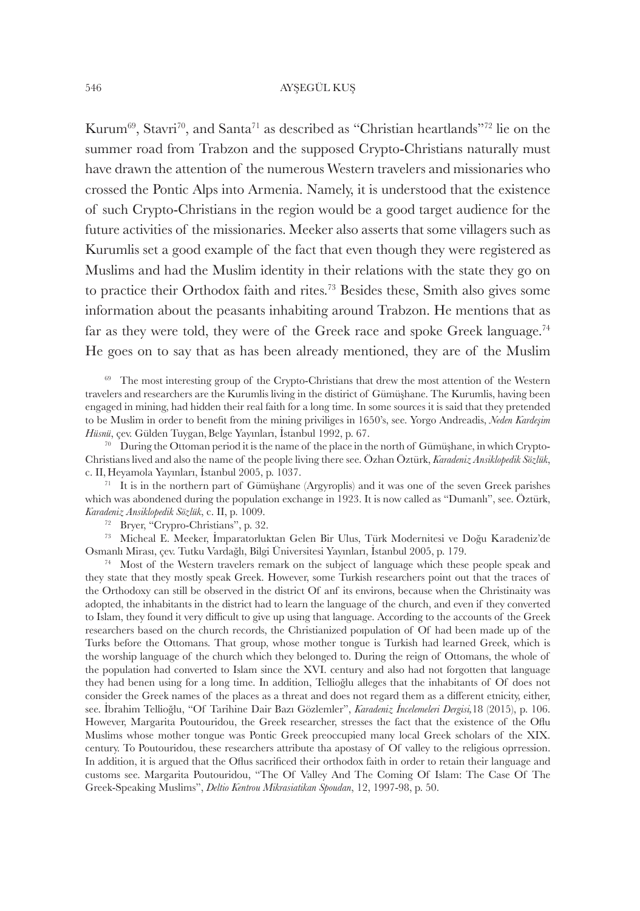Kurum<sup>69</sup>, Stavri<sup>70</sup>, and Santa<sup>71</sup> as described as "Christian heartlands"<sup>72</sup> lie on the summer road from Trabzon and the supposed Crypto-Christians naturally must have drawn the attention of the numerous Western travelers and missionaries who crossed the Pontic Alps into Armenia. Namely, it is understood that the existence of such Crypto-Christians in the region would be a good target audience for the future activities of the missionaries. Meeker also asserts that some villagers such as Kurumlis set a good example of the fact that even though they were registered as Muslims and had the Muslim identity in their relations with the state they go on to practice their Orthodox faith and rites.<sup>73</sup> Besides these, Smith also gives some information about the peasants inhabiting around Trabzon. He mentions that as far as they were told, they were of the Greek race and spoke Greek language.<sup>74</sup> He goes on to say that as has been already mentioned, they are of the Muslim

<sup>70</sup> During the Ottoman period it is the name of the place in the north of Gümüshane, in which Crypto-Christians lived and also the name of the people living there see. Özhan Öztürk, *Karadeniz Ansiklopedik Sözlük*, c. II, Heyamola Yayınları, İstanbul 2005, p. 1037.

 $71$ It is in the northern part of Gümüşhane (Argyroplis) and it was one of the seven Greek parishes which was abondened during the population exchange in 1923. It is now called as "Dumanlı", see. Öztürk, *Karadeniz Ansiklopedik Sözlük*, c. II, p. 1009.

<sup>72</sup> Bryer, "Crypro-Christians", p. 32.

<sup>73</sup>Micheal E. Meeker, İmparatorluktan Gelen Bir Ulus, Türk Modernitesi ve Doğu Karadeniz'de Osmanlı Mirası, çev. Tutku Vardağlı, Bilgi Üniversitesi Yayınları, İstanbul 2005, p. 179.

 $74$  Most of the Western travelers remark on the subject of language which these people speak and they state that they mostly speak Greek. However, some Turkish researchers point out that the traces of the Orthodoxy can still be observed in the district Of anf its environs, because when the Christinaity was adopted, the inhabitants in the district had to learn the language of the church, and even if they converted to Islam, they found it very difficult to give up using that language. According to the accounts of the Greek researchers based on the church records, the Christianized poıpulation of Of had been made up of the Turks before the Ottomans. That group, whose mother tongue is Turkish had learned Greek, which is the worship language of the church which they belonged to. During the reign of Ottomans, the whole of the population had converted to Islam since the XVI. century and also had not forgotten that language they had benen using for a long time. In addition, Tellioğlu alleges that the inhabitants of Of does not consider the Greek names of the places as a threat and does not regard them as a different etnicity, either, see. İbrahim Tellioğlu, "Of Tarihine Dair Bazı Gözlemler", *Karadeniz İncelemeleri Dergisi,*18 (2015), p. 106. However, Margarita Poutouridou, the Greek researcher, stresses the fact that the existence of the Oflu Muslims whose mother tongue was Pontic Greek preoccupied many local Greek scholars of the XIX. century. To Poutouridou, these researchers attribute tha apostasy of Of valley to the religious oprression. In addition, it is argued that the Oflus sacrificed their orthodox faith in order to retain their language and customs see. Margarita Poutouridou, "The Of Valley And The Coming Of Islam: The Case Of The Greek-Speaking Muslims", *Deltio Kentrou Mikrasiatikan Spoudan*, 12, 1997-98, p. 50.

<sup>&</sup>lt;sup>69</sup> The most interesting group of the Crypto-Christians that drew the most attention of the Western travelers and researchers are the Kurumlis living in the distirict of Gümüşhane. The Kurumlis, having been engaged in mining, had hidden their real faith for a long time. In some sources it is said that they pretended to be Muslim in order to benefi t from the mining priviliges in 1650's, see. Yorgo Andreadis, *Neden Kardeşim*  Hüsnü, çev. Gülden Tuygan, Belge Yayınları, İstanbul 1992, p. 67.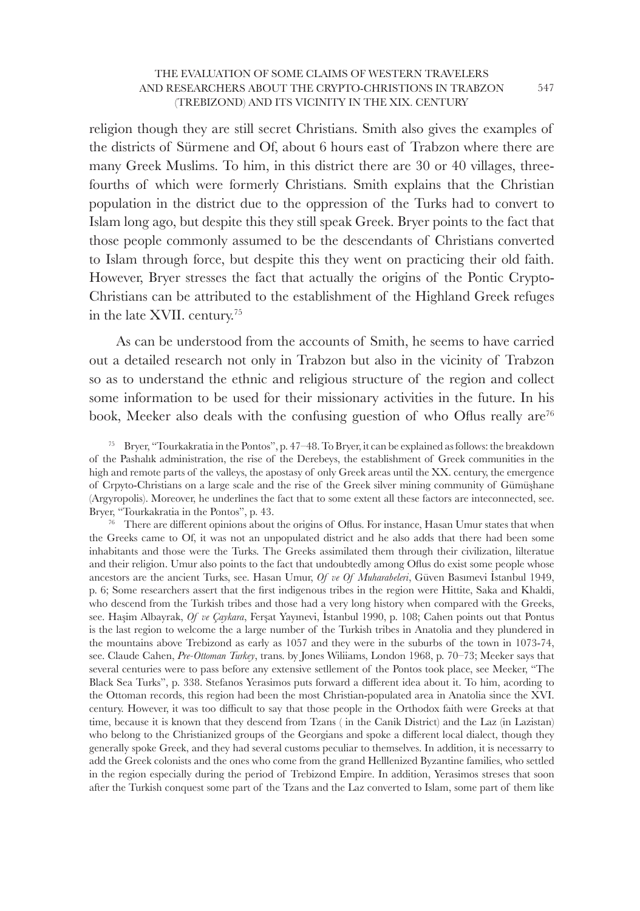religion though they are still secret Christians. Smith also gives the examples of the districts of Sürmene and Of, about 6 hours east of Trabzon where there are many Greek Muslims. To him, in this district there are 30 or 40 villages, threefourths of which were formerly Christians. Smith explains that the Christian population in the district due to the oppression of the Turks had to convert to Islam long ago, but despite this they still speak Greek. Bryer points to the fact that those people commonly assumed to be the descendants of Christians converted to Islam through force, but despite this they went on practicing their old faith. However, Bryer stresses the fact that actually the origins of the Pontic Crypto-Christians can be attributed to the establishment of the Highland Greek refuges in the late XVII. century.<sup>75</sup>

As can be understood from the accounts of Smith, he seems to have carried out a detailed research not only in Trabzon but also in the vicinity of Trabzon so as to understand the ethnic and religious structure of the region and collect some information to be used for their missionary activities in the future. In his book, Meeker also deals with the confusing guestion of who Oflus really are<sup>76</sup>

 $76$  There are different opinions about the origins of Oflus. For instance, Hasan Umur states that when the Greeks came to Of, it was not an unpopulated district and he also adds that there had been some inhabitants and those were the Turks. The Greeks assimilated them through their civilization, lilteratue and their religion. Umur also points to the fact that undoubtedly among Oflus do exist some people whose ancestors are the ancient Turks, see. Hasan Umur, *Of ve Of Muharabeleri*, Güven Basımevi İstanbul 1949, p. 6; Some researchers assert that the first indigenous tribes in the region were Hittite, Saka and Khaldi, who descend from the Turkish tribes and those had a very long history when compared with the Greeks, see. Haşim Albayrak, *Of ve Çaykara*, Ferşat Yayınevi, İstanbul 1990, p. 108; Cahen points out that Pontus is the last region to welcome the a large number of the Turkish tribes in Anatolia and they plundered in the mountains above Trebizond as early as 1057 and they were in the suburbs of the town in 1073-74, see. Claude Cahen, *Pre-Ottoman Turkey*, trans. by Jones Wiliiams, London 1968, p. 70–73; Meeker says that several centuries were to pass before any extensive setllement of the Pontos took place, see Meeker, "The Black Sea Turks", p. 338. Stefanos Yerasimos puts forward a different idea about it. To him, acording to the Ottoman records, this region had been the most Christian-populated area in Anatolia since the XVI. century. However, it was too difficult to say that those people in the Orthodox faith were Greeks at that time, because it is known that they descend from Tzans ( in the Canik District) and the Laz (in Lazistan) who belong to the Christianized groups of the Georgians and spoke a different local dialect, though they generally spoke Greek, and they had several customs peculiar to themselves. In addition, it is necessarry to add the Greek colonists and the ones who come from the grand Helllenized Byzantine families, who settled in the region especially during the period of Trebizond Empire. In addition, Yerasimos streses that soon after the Turkish conquest some part of the Tzans and the Laz converted to Islam, some part of them like

<sup>&</sup>lt;sup>75</sup> Bryer, "Tourkakratia in the Pontos", p. 47–48. To Bryer, it can be explained as follows: the breakdown of the Pashalık administration, the rise of the Derebeys, the establishment of Greek communities in the high and remote parts of the valleys, the apostasy of only Greek areas until the XX. century, the emergence of Crpyto-Christians on a large scale and the rise of the Greek silver mining community of Gümüşhane (Argyropolis). Moreover, he underlines the fact that to some extent all these factors are inteconnected, see. Bryer, "Tourkakratia in the Pontos", p. 43.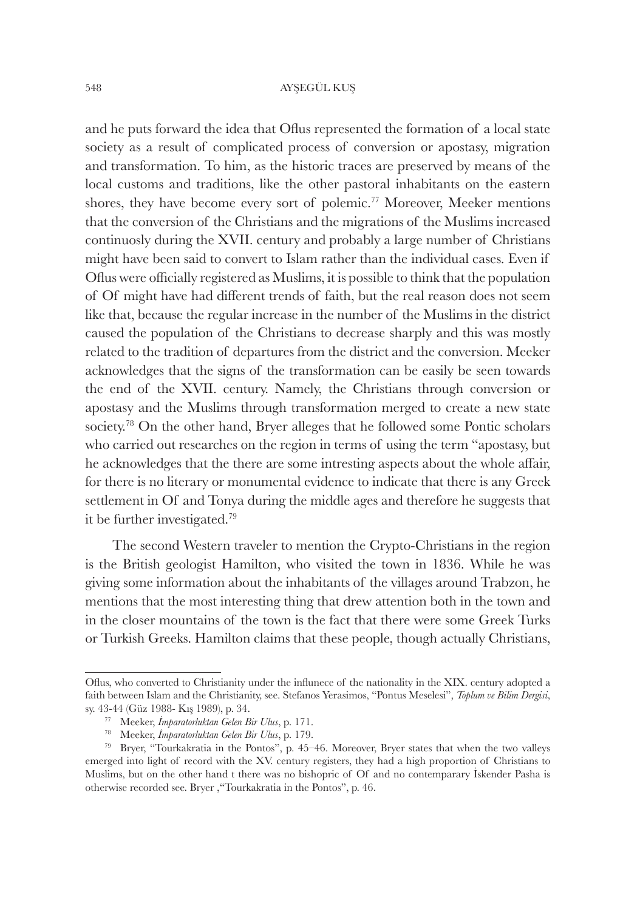and he puts forward the idea that Oflus represented the formation of a local state society as a result of complicated process of conversion or apostasy, migration and transformation. To him, as the historic traces are preserved by means of the local customs and traditions, like the other pastoral inhabitants on the eastern shores, they have become every sort of polemic.<sup>77</sup> Moreover, Meeker mentions that the conversion of the Christians and the migrations of the Muslims increased continuosly during the XVII. century and probably a large number of Christians might have been said to convert to Islam rather than the individual cases. Even if Oflus were officially registered as Muslims, it is possible to think that the population of Of might have had different trends of faith, but the real reason does not seem like that, because the regular increase in the number of the Muslims in the district caused the population of the Christians to decrease sharply and this was mostly related to the tradition of departures from the district and the conversion. Meeker acknowledges that the signs of the transformation can be easily be seen towards the end of the XVII. century. Namely, the Christians through conversion or apostasy and the Muslims through transformation merged to create a new state society.<sup>78</sup> On the other hand, Bryer alleges that he followed some Pontic scholars who carried out researches on the region in terms of using the term "apostasy, but he acknowledges that the there are some intresting aspects about the whole affair, for there is no literary or monumental evidence to indicate that there is any Greek settlement in Of and Tonya during the middle ages and therefore he suggests that it be further investigated.<sup>79</sup>

The second Western traveler to mention the Crypto-Christians in the region is the British geologist Hamilton, who visited the town in 1836. While he was giving some information about the inhabitants of the villages around Trabzon, he mentions that the most interesting thing that drew attention both in the town and in the closer mountains of the town is the fact that there were some Greek Turks or Turkish Greeks. Hamilton claims that these people, though actually Christians,

Oflus, who converted to Christianity under the influnece of the nationality in the XIX. century adopted a faith between Islam and the Christianity, see. Stefanos Yerasimos, "Pontus Meselesi", *Toplum ve Bilim Dergisi*, sy. 43-44 (Güz 1988- Kış 1989), p. 34.

<sup>77</sup>Meeker, *İmparatorluktan Gelen Bir Ulus*, p. 171.

<sup>78</sup>Meeker, *İmparatorluktan Gelen Bir Ulus*, p. 179.

 $79$  Bryer, "Tourkakratia in the Pontos", p. 45–46. Moreover, Bryer states that when the two valleys emerged into light of record with the XV. century registers, they had a high proportion of Christians to Muslims, but on the other hand t there was no bishopric of Of and no contemparary İskender Pasha is otherwise recorded see. Bryer ,"Tourkakratia in the Pontos", p. 46.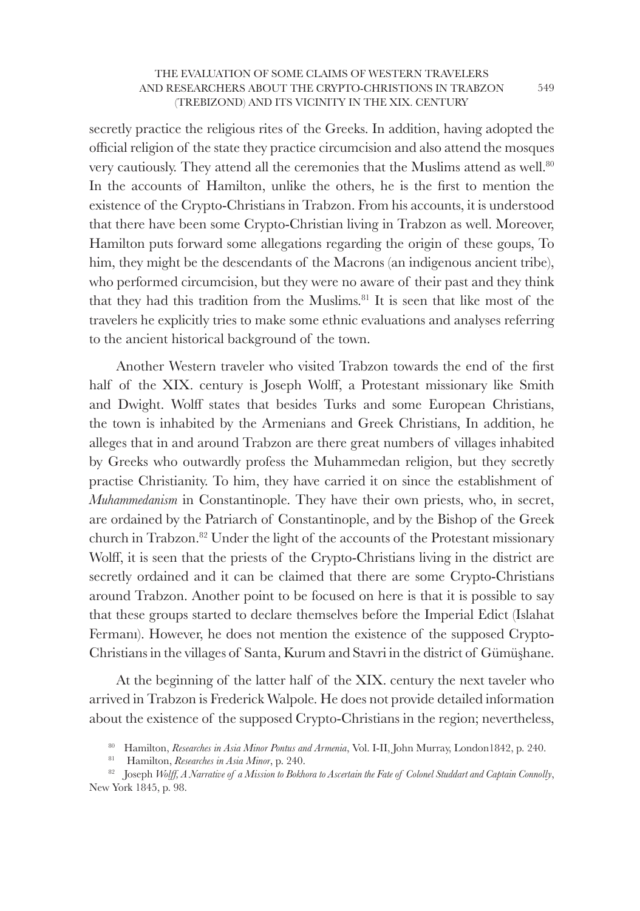secretly practice the religious rites of the Greeks. In addition, having adopted the official religion of the state they practice circumcision and also attend the mosques very cautiously. They attend all the ceremonies that the Muslims attend as well.<sup>80</sup> In the accounts of Hamilton, unlike the others, he is the first to mention the existence of the Crypto-Christians in Trabzon. From his accounts, it is understood that there have been some Crypto-Christian living in Trabzon as well. Moreover, Hamilton puts forward some allegations regarding the origin of these goups, To him, they might be the descendants of the Macrons (an indigenous ancient tribe), who performed circumcision, but they were no aware of their past and they think that they had this tradition from the Muslims.<sup>81</sup> It is seen that like most of the travelers he explicitly tries to make some ethnic evaluations and analyses referring to the ancient historical background of the town.

Another Western traveler who visited Trabzon towards the end of the first half of the XIX. century is Joseph Wolff, a Protestant missionary like Smith and Dwight. Wolff states that besides Turks and some European Christians, the town is inhabited by the Armenians and Greek Christians, In addition, he alleges that in and around Trabzon are there great numbers of villages inhabited by Greeks who outwardly profess the Muhammedan religion, but they secretly practise Christianity. To him, they have carried it on since the establishment of *Muhammedanism* in Constantinople. They have their own priests, who, in secret, are ordained by the Patriarch of Constantinople, and by the Bishop of the Greek church in Trabzon.<sup>82</sup> Under the light of the accounts of the Protestant missionary Wolff, it is seen that the priests of the Crypto-Christians living in the district are secretly ordained and it can be claimed that there are some Crypto-Christians around Trabzon. Another point to be focused on here is that it is possible to say that these groups started to declare themselves before the Imperial Edict (Islahat Fermanı). However, he does not mention the existence of the supposed Crypto-Christians in the villages of Santa, Kurum and Stavri in the district of Gümüşhane.

At the beginning of the latter half of the XIX. century the next taveler who arrived in Trabzon is Frederick Walpole. He does not provide detailed information about the existence of the supposed Crypto-Christians in the region; nevertheless,

<sup>&</sup>lt;sup>80</sup> Hamilton, *Researches in Asia Minor Pontus and Armenia*, Vol. I-II, John Murray, London1842, p. 240.

<sup>&</sup>lt;sup>81</sup> Hamilton, *Researches in Asia Minor*, p. 240.

<sup>82</sup> Joseph *Wolff*, A Narrative of a Mission to Bokhora to Ascertain the Fate of Colonel Studdart and Captain Connolly, New York 1845, p. 98.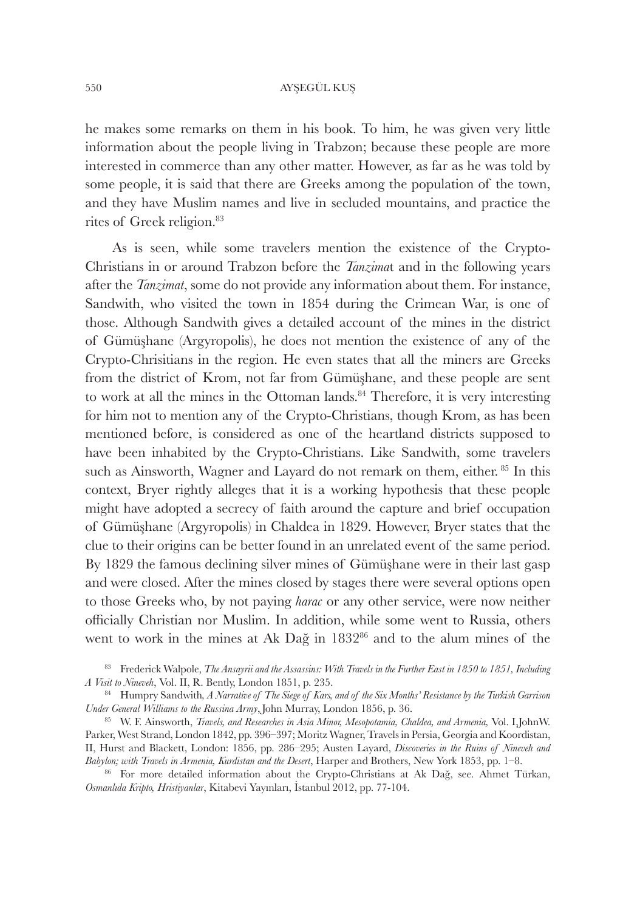he makes some remarks on them in his book. To him, he was given very little information about the people living in Trabzon; because these people are more interested in commerce than any other matter. However, as far as he was told by some people, it is said that there are Greeks among the population of the town, and they have Muslim names and live in secluded mountains, and practice the rites of Greek religion.<sup>83</sup>

As is seen, while some travelers mention the existence of the Crypto-Christians in or around Trabzon before the *Tanzima*t and in the following years after the *Tanzimat*, some do not provide any information about them. For instance, Sandwith, who visited the town in 1854 during the Crimean War, is one of those. Although Sandwith gives a detailed account of the mines in the district of Gümüşhane (Argyropolis), he does not mention the existence of any of the Crypto-Chrisitians in the region. He even states that all the miners are Greeks from the district of Krom, not far from Gümüşhane, and these people are sent to work at all the mines in the Ottoman lands.<sup>84</sup> Therefore, it is very interesting for him not to mention any of the Crypto-Christians, though Krom, as has been mentioned before, is considered as one of the heartland districts supposed to have been inhabited by the Crypto-Christians. Like Sandwith, some travelers such as Ainsworth, Wagner and Layard do not remark on them, either.<sup>85</sup> In this context, Bryer rightly alleges that it is a working hypothesis that these people might have adopted a secrecy of faith around the capture and brief occupation of Gümüşhane (Argyropolis) in Chaldea in 1829. However, Bryer states that the clue to their origins can be better found in an unrelated event of the same period. By 1829 the famous declining silver mines of Gümüşhane were in their last gasp and were closed. After the mines closed by stages there were several options open to those Greeks who, by not paying *harac* or any other service, were now neither officially Christian nor Muslim. In addition, while some went to Russia, others went to work in the mines at Ak Dağ in 1832<sup>86</sup> and to the alum mines of the

<sup>83</sup> Frederick Walpole, *The Ansayrii and the Assassins: With Travels in the Further East in 1850 to 1851, Including A Visit to Nineveh*, Vol. II, R. Bently, London 1851, p. 235.

<sup>84</sup> Humpry Sandwith, *A Narrative of The Siege of Kars, and of the Six Months' Resistance by the Turkish Garrison Under General Williams to the Russina Army*,John Murray, London 1856, p. 36.

<sup>85</sup>W. F. Ainsworth, *Travels, and Researches in Asia Minor, Mesopotamia, Chaldea, and Armenia,* Vol. I,JohnW. Parker, West Strand, London 1842, pp. 396–397; Moritz Wagner, Travels in Persia, Georgia and Koordistan, II, Hurst and Blackett, London: 1856, pp. 286–295; Austen Layard, *Discoveries in the Ruins of Nineveh and Babylon; with Travels in Armenia, Kurdistan and the Desert*, Harper and Brothers, New York 1853, pp. 1–8.

<sup>86</sup> For more detailed information about the Crypto-Christians at Ak Dağ, see. Ahmet Türkan, *Osmanlıda Kripto, Hristiyanlar*, Kitabevi Yayınları, İstanbul 2012, pp. 77-104.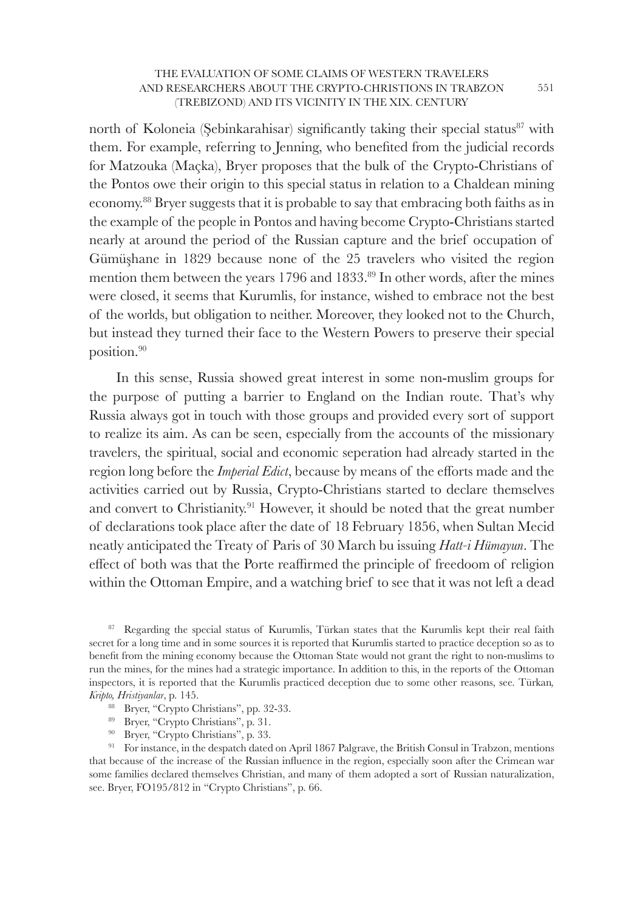north of Koloneia (Sebinkarahisar) significantly taking their special status<sup>87</sup> with them. For example, referring to Jenning, who benefited from the judicial records for Matzouka (Maçka), Bryer proposes that the bulk of the Crypto-Christians of the Pontos owe their origin to this special status in relation to a Chaldean mining economy.<sup>88</sup> Bryer suggests that it is probable to say that embracing both faiths as in the example of the people in Pontos and having become Crypto-Christians started nearly at around the period of the Russian capture and the brief occupation of Gümüşhane in 1829 because none of the 25 travelers who visited the region mention them between the years 1796 and 1833.<sup>89</sup> In other words, after the mines were closed, it seems that Kurumlis, for instance, wished to embrace not the best of the worlds, but obligation to neither. Moreover, they looked not to the Church, but instead they turned their face to the Western Powers to preserve their special position.<sup>90</sup>

In this sense, Russia showed great interest in some non-muslim groups for the purpose of putting a barrier to England on the Indian route. That's why Russia always got in touch with those groups and provided every sort of support to realize its aim. As can be seen, especially from the accounts of the missionary travelers, the spiritual, social and economic seperation had already started in the region long before the *Imperial Edict*, because by means of the efforts made and the activities carried out by Russia, Crypto-Christians started to declare themselves and convert to Christianity.<sup>91</sup> However, it should be noted that the great number of declarations took place after the date of 18 February 1856, when Sultan Mecid neatly anticipated the Treaty of Paris of 30 March bu issuing *Hatt-i Hümayun*. The effect of both was that the Porte reaffirmed the principle of freedoom of religion within the Ottoman Empire, and a watching brief to see that it was not left a dead

<sup>87</sup>Regarding the special status of Kurumlis, Türkan states that the Kurumlis kept their real faith secret for a long time and in some sources it is reported that Kurumlis started to practice deception so as to benefit from the mining economy because the Ottoman State would not grant the right to non-muslims to run the mines, for the mines had a strategic importance. In addition to this, in the reports of the Ottoman inspectors, it is reported that the Kurumlis practiced deception due to some other reasons, see. Türkan*, Kripto, Hristiyanlar*, p. 145.

- <sup>88</sup> Bryer, "Crypto Christians", pp. 32-33.
- <sup>89</sup> Bryer, "Crypto Christians", p. 31.
- <sup>90</sup> Bryer, "Crypto Christians", p. 33.

<sup>91</sup> For instance, in the despatch dated on April 1867 Palgrave, the British Consul in Trabzon, mentions that because of the increase of the Russian influence in the region, especially soon after the Crimean war some families declared themselves Christian, and many of them adopted a sort of Russian naturalization, see. Bryer, FO195/812 in "Crypto Christians", p. 66.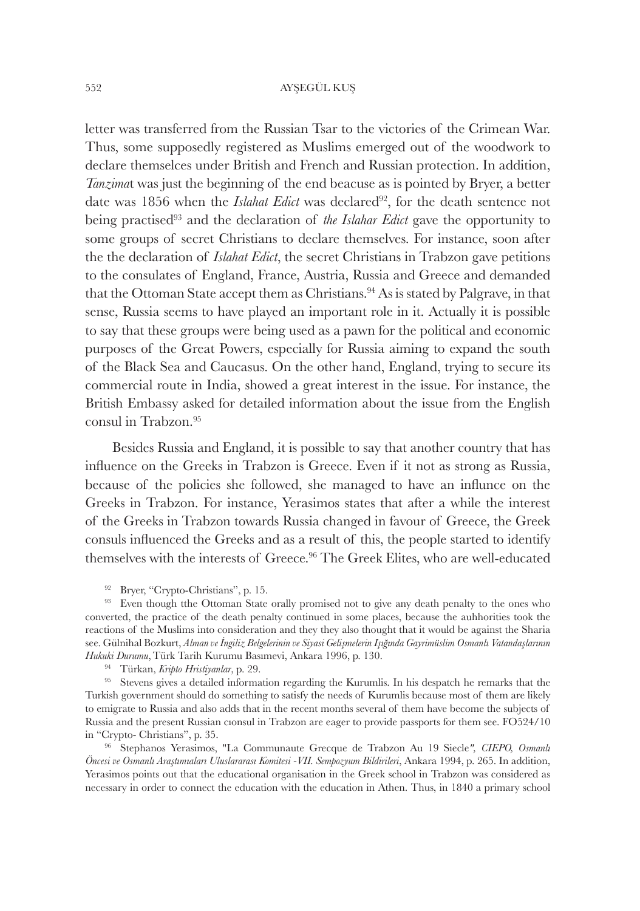letter was transferred from the Russian Tsar to the victories of the Crimean War. Thus, some supposedly registered as Muslims emerged out of the woodwork to declare themselces under British and French and Russian protection. In addition, *Tanzima*t was just the beginning of the end beacuse as is pointed by Bryer, a better date was 1856 when the *Islahat Edict* was declared<sup>92</sup>, for the death sentence not being practised<sup>93</sup> and the declaration of *the Islahar Edict* gave the opportunity to some groups of secret Christians to declare themselves. For instance, soon after the the declaration of *Islahat Edict*, the secret Christians in Trabzon gave petitions to the consulates of England, France, Austria, Russia and Greece and demanded that the Ottoman State accept them as Christians.<sup>94</sup> As is stated by Palgrave, in that sense, Russia seems to have played an important role in it. Actually it is possible to say that these groups were being used as a pawn for the political and economic purposes of the Great Powers, especially for Russia aiming to expand the south of the Black Sea and Caucasus. On the other hand, England, trying to secure its commercial route in India, showed a great interest in the issue. For instance, the British Embassy asked for detailed information about the issue from the English consul in Trabzon.<sup>95</sup>

Besides Russia and England, it is possible to say that another country that has influence on the Greeks in Trabzon is Greece. Even if it not as strong as Russia, because of the policies she followed, she managed to have an influnce on the Greeks in Trabzon. For instance, Yerasimos states that after a while the interest of the Greeks in Trabzon towards Russia changed in favour of Greece, the Greek consuls influenced the Greeks and as a result of this, the people started to identify themselves with the interests of Greece.<sup>96</sup> The Greek Elites, who are well-educated

<sup>92</sup> Bryer, "Crypto-Christians", p. 15.

<sup>93</sup> Even though tthe Ottoman State orally promised not to give any death penalty to the ones who converted, the practice of the death penalty continued in some places, because the auhhorities took the reactions of the Muslims into consideration and they they also thought that it would be against the Sharia see. Gülnihal Bozkurt, Alman ve İngiliz Belgelerinin ve Siyasi Gelişmelerin İşığında Gayrimüslim Osmanlı Vatandaşlarının *Hukuki Durumu*,Türk Tarih Kurumu Basımevi, Ankara 1996, p. 130.

<sup>94</sup>Türkan, *Kripto Hristiyanlar*, p. 29.

<sup>95</sup> Stevens gives a detailed information regarding the Kurumlis. In his despatch he remarks that the Turkish government should do something to satisfy the needs of Kurumlis because most of them are likely to emigrate to Russia and also adds that in the recent months several of them have become the subjects of Russia and the present Russian cıonsul in Trabzon are eager to provide passports for them see. FO524/10 in "Crypto- Christians", p. 35.

<sup>96</sup>Stephanos Yerasimos, "La Communaute Grecque de Trabzon Au 19 Siecle*", CIEPO, Osmanlı Öncesi ve Osmanlı Araştımıaları Uluslararası Komitesi -VII. Sempozyum Bildirileri*, Ankara 1994, p. 265. In addition, Yerasimos points out that the educational organisation in the Greek school in Trabzon was considered as necessary in order to connect the education with the education in Athen. Thus, in 1840 a primary school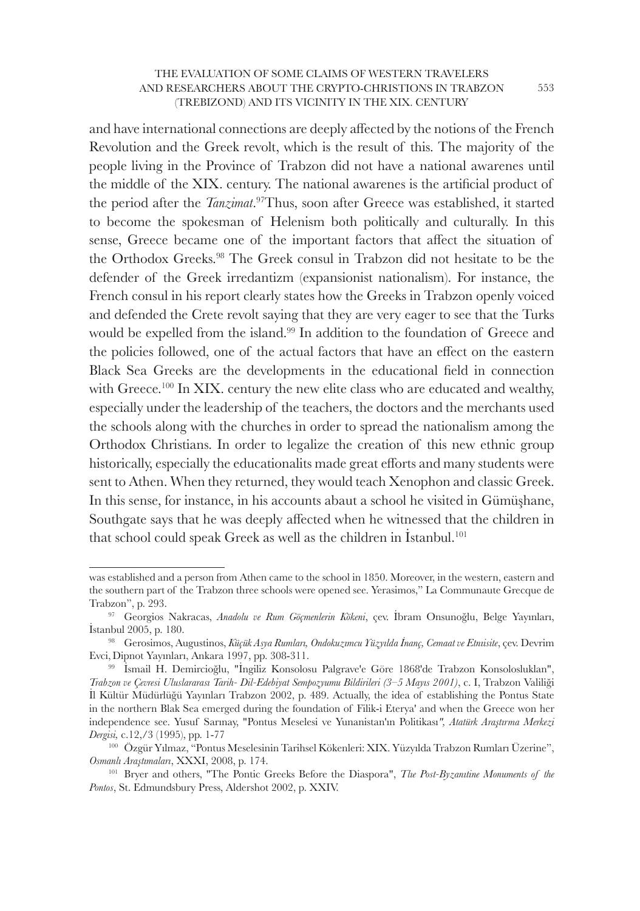and have international connections are deeply affected by the notions of the French Revolution and the Greek revolt, which is the result of this. The majority of the people living in the Province of Trabzon did not have a national awarenes until the middle of the XIX. century. The national awarenes is the artificial product of the period after the *Tanzimat*. <sup>97</sup>Thus, soon after Greece was established, it started to become the spokesman of Helenism both politically and culturally. In this sense, Greece became one of the important factors that affect the situation of the Orthodox Greeks.<sup>98</sup> The Greek consul in Trabzon did not hesitate to be the defender of the Greek irredantizm (expansionist nationalism). For instance, the French consul in his report clearly states how the Greeks in Trabzon openly voiced and defended the Crete revolt saying that they are very eager to see that the Turks would be expelled from the island.<sup>99</sup> In addition to the foundation of Greece and the policies followed, one of the actual factors that have an effect on the eastern Black Sea Greeks are the developments in the educational field in connection with Greece.<sup>100</sup> In XIX. century the new elite class who are educated and wealthy, especially under the leadership of the teachers, the doctors and the merchants used the schools along with the churches in order to spread the nationalism among the Orthodox Christians. In order to legalize the creation of this new ethnic group historically, especially the educationalits made great efforts and many students were sent to Athen. When they returned, they would teach Xenophon and classic Greek. In this sense, for instance, in his accounts abaut a school he visited in Gümüşhane, Southgate says that he was deeply affected when he witnessed that the children in that school could speak Greek as well as the children in Istanbul.<sup>101</sup>

was established and a person from Athen came to the school in 1850. Moreover, in the western, eastern and the southern part of the Trabzon three schools were opened see. Yerasimos," La Communaute Grecque de Trabzon", p. 293.

<sup>97</sup>Georgios Nakracas, *Anadolu ve Rum Göçmenlerin Kökeni*, çev. İbram Onsunoğlu, Belge Yayınları, İstanbul 2005, p. 180.

<sup>98</sup>Gerosimos, Augustinos, *Küçük Asya Rumları, Ondokuzımcu Yüzyılda İnanç, Cemaat ve Etnıisite*, çev. Devrim Evci,Dipnot Yayınları, Ankara 1997, pp. 308-311.

<sup>99</sup>İsmail H. Demircioğlu, "İngiliz Konsolosu Palgrave'e Göre 1868'de Trabzon Konsolosluklan", *Trabzon ve Çevresi Uluslararası Tarih- Dil-Edebiyat Sempozyumu Bildirileri (3–5 Mayıs 2001)*, c. I, Trabzon Valiliği İl Kültür Müdürlüğü Yayınları Trabzon 2002, p. 489. Actually, the idea of establishing the Pontus State in the northern Blak Sea emerged during the foundation of Filik-i Eterya' and when the Greece won her independence see. Yusuf Sarınay, "Pontus Meselesi ve Yunanistan'ın Politikası*", Atatürk Araştırma Merkezi Dergisi,* c.12,/3 (1995), pp. 1-77

<sup>100</sup>Özgür Yılmaz, "Pontus Meselesinin Tarihsel Kökenleri: XIX. Yüzyılda Trabzon Rumları Üzerine", *Osmanlı Araştımaları*, XXXI, 2008, p. 174.

<sup>101</sup>Bryer and others, "The Pontic Greeks Before the Diaspora", *Tlıe Post-Byzanıtine Monuments of the Pontos*, St. Edmundsbury Press, Aldershot 2002, p. XXIV.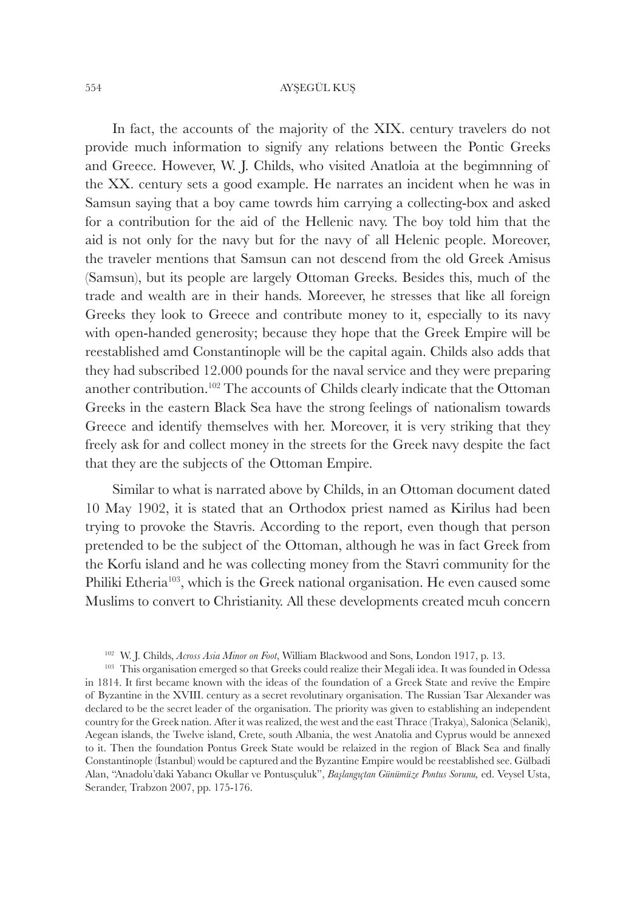In fact, the accounts of the majority of the XIX. century travelers do not provide much information to signify any relations between the Pontic Greeks and Greece. However, W. J. Childs, who visited Anatloia at the begimnning of the XX. century sets a good example. He narrates an incident when he was in Samsun saying that a boy came towrds him carrying a collecting-box and asked for a contribution for the aid of the Hellenic navy. The boy told him that the aid is not only for the navy but for the navy of all Helenic people. Moreover, the traveler mentions that Samsun can not descend from the old Greek Amisus (Samsun), but its people are largely Ottoman Greeks. Besides this, much of the trade and wealth are in their hands. Moreever, he stresses that like all foreign Greeks they look to Greece and contribute money to it, especially to its navy with open-handed generosity; because they hope that the Greek Empire will be reestablished amd Constantinople will be the capital again. Childs also adds that they had subscribed 12.000 pounds for the naval service and they were preparing another contribution.<sup>102</sup> The accounts of Childs clearly indicate that the Ottoman Greeks in the eastern Black Sea have the strong feelings of nationalism towards Greece and identify themselves with her. Moreover, it is very striking that they freely ask for and collect money in the streets for the Greek navy despite the fact that they are the subjects of the Ottoman Empire.

Similar to what is narrated above by Childs, in an Ottoman document dated 10 May 1902, it is stated that an Orthodox priest named as Kirilus had been trying to provoke the Stavris. According to the report, even though that person pretended to be the subject of the Ottoman, although he was in fact Greek from the Korfu island and he was collecting money from the Stavri community for the Philiki Etheria<sup>103</sup>, which is the Greek national organisation. He even caused some Muslims to convert to Christianity. All these developments created mcuh concern

<sup>102</sup>W. J. Childs, *Across Asia Minor on Foot*, William Blackwood and Sons, London 1917, p. 13.

<sup>&</sup>lt;sup>103</sup> This organisation emerged so that Greeks could realize their Megali idea. It was founded in Odessa in 1814. It first became known with the ideas of the foundation of a Greek State and revive the Empire of Byzantine in the XVIII. century as a secret revolutinary organisation. The Russian Tsar Alexander was declared to be the secret leader of the organisation. The priority was given to establishing an independent country for the Greek nation. After it was realized, the west and the east Thrace (Trakya), Salonica (Selanik), Aegean islands, the Twelve island, Crete, south Albania, the west Anatolia and Cyprus would be annexed to it. Then the foundation Pontus Greek State would be relaized in the region of Black Sea and finally Constantinople (İstanbul) would be captured and the Byzantine Empire would be reestablished see. Gülbadi Alan, "Anadolu'daki Yabancı Okullar ve Pontusçuluk", *Başlangıçtan Günümüze Pontus Sorunu,* ed. Veysel Usta, Serander, Trabzon 2007, pp. 175-176.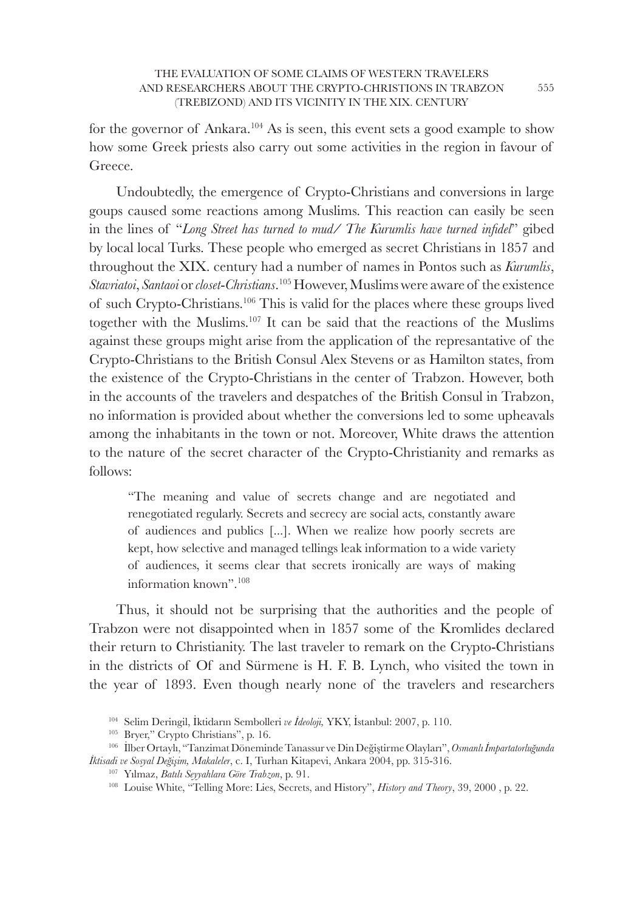for the governor of Ankara.<sup>104</sup> As is seen, this event sets a good example to show how some Greek priests also carry out some activities in the region in favour of Greece.

Undoubtedly, the emergence of Crypto-Christians and conversions in large goups caused some reactions among Muslims. This reaction can easily be seen in the lines of "*Long Street has turned to mud/ The Kurumlis have turned infidel*" gibed by local local Turks. These people who emerged as secret Christians in 1857 and throughout the XIX. century had a number of names in Pontos such as *Kurumlis*, *Stavriatoi*, *Santaoi* or *closet*-*Christians*. <sup>105</sup> However, Muslims were aware of the existence of such Crypto-Christians.<sup>106</sup> This is valid for the places where these groups lived together with the Muslims.<sup>107</sup> It can be said that the reactions of the Muslims against these groups might arise from the application of the represantative of the Crypto-Christians to the British Consul Alex Stevens or as Hamilton states, from the existence of the Crypto-Christians in the center of Trabzon. However, both in the accounts of the travelers and despatches of the British Consul in Trabzon, no information is provided about whether the conversions led to some upheavals among the inhabitants in the town or not. Moreover, White draws the attention to the nature of the secret character of the Crypto-Christianity and remarks as follows:

"The meaning and value of secrets change and are negotiated and renegotiated regularly. Secrets and secrecy are social acts, constantly aware of audiences and publics [...]. When we realize how poorly secrets are kept, how selective and managed tellings leak information to a wide variety of audiences, it seems clear that secrets ironically are ways of making information known".<sup>108</sup>

Thus, it should not be surprising that the authorities and the people of Trabzon were not disappointed when in 1857 some of the Kromlides declared their return to Christianity. The last traveler to remark on the Crypto-Christians in the districts of Of and Sürmene is H. F. B. Lynch, who visited the town in the year of 1893. Even though nearly none of the travelers and researchers

<sup>&</sup>lt;sup>104</sup> Selim Deringil, İktidarın Sembolleri ve İdeoloji, YKY, İstanbul: 2007, p. 110.

<sup>&</sup>lt;sup>105</sup> Bryer," Crypto Christians", p. 16.

<sup>106</sup>İlber Ortaylı, "Tanzimat Döneminde Tanassur ve Din Değiştirme Olayları", *Osmanlıİmpartatorluğunda İktisadi ve Sosyal Değişim, Makaleler*, c. I, Turhan Kitapevi, Ankara 2004, pp. 315-316.

<sup>&</sup>lt;sup>107</sup> Yılmaz, *Batılı Seyyahlara Göre Trabzon*, p. 91.

<sup>108</sup> Louise White, "Telling More: Lies, Secrets, and History", *History and Theory*, 39, 2000 , p. 22.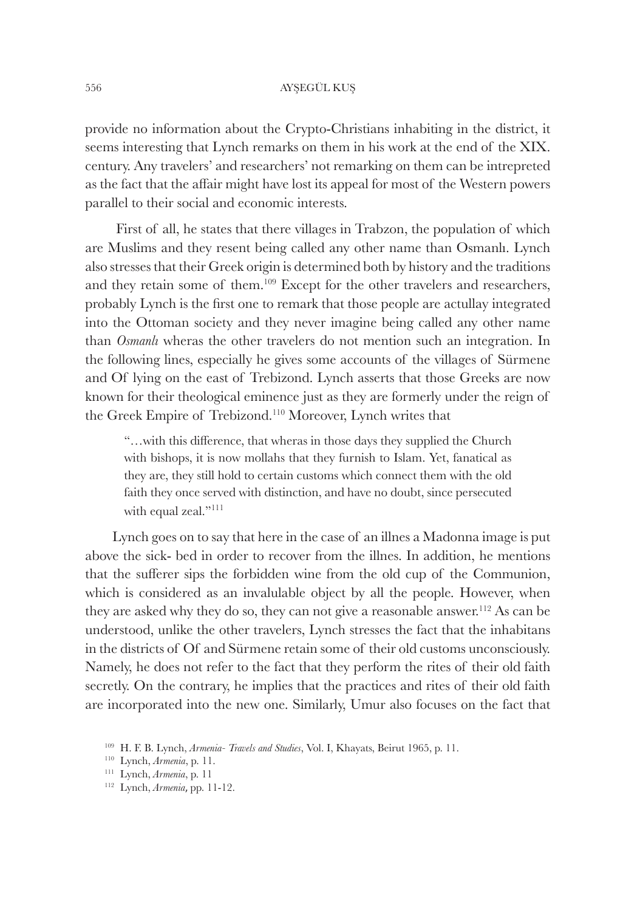provide no information about the Crypto-Christians inhabiting in the district, it seems interesting that Lynch remarks on them in his work at the end of the XIX. century. Any travelers' and researchers' not remarking on them can be intrepreted as the fact that the affair might have lost its appeal for most of the Western powers parallel to their social and economic interests.

 First of all, he states that there villages in Trabzon, the population of which are Muslims and they resent being called any other name than Osmanlı. Lynch also stresses that their Greek origin is determined both by history and the traditions and they retain some of them.<sup>109</sup> Except for the other travelers and researchers, probably Lynch is the first one to remark that those people are actullay integrated into the Ottoman society and they never imagine being called any other name than *Osmanlı* wheras the other travelers do not mention such an integration. In the following lines, especially he gives some accounts of the villages of Sürmene and Of lying on the east of Trebizond. Lynch asserts that those Greeks are now known for their theological eminence just as they are formerly under the reign of the Greek Empire of Trebizond.<sup>110</sup> Moreover, Lynch writes that

"...with this difference, that wheras in those days they supplied the Church with bishops, it is now mollahs that they furnish to Islam. Yet, fanatical as they are, they still hold to certain customs which connect them with the old faith they once served with distinction, and have no doubt, since persecuted with equal zeal."<sup>111</sup>

Lynch goes on to say that here in the case of an illnes a Madonna image is put above the sick- bed in order to recover from the illnes. In addition, he mentions that the sufferer sips the forbidden wine from the old cup of the Communion, which is considered as an invalulable object by all the people. However, when they are asked why they do so, they can not give a reasonable answer.<sup>112</sup> As can be understood, unlike the other travelers, Lynch stresses the fact that the inhabitans in the districts of Of and Sürmene retain some of their old customs unconsciously. Namely, he does not refer to the fact that they perform the rites of their old faith secretly. On the contrary, he implies that the practices and rites of their old faith are incorporated into the new one. Similarly, Umur also focuses on the fact that

<sup>&</sup>lt;sup>109</sup> H. F. B. Lynch, *Armenia- Travels and Studies*, Vol. I, Khayats, Beirut 1965, p. 11.

<sup>110</sup>Lynch, *Armenia*, p. 11.

<sup>111</sup>Lynch, *Armenia*, p. 11

<sup>&</sup>lt;sup>112</sup> Lynch, *Armenia*, pp. 11-12.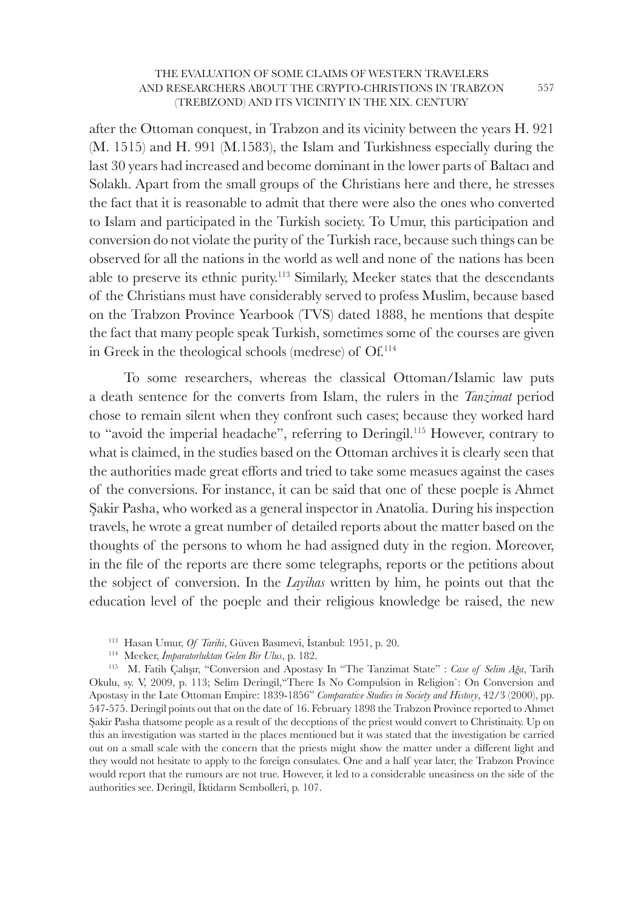after the Ottoman conquest, in Trabzon and its vicinity between the years H. 921 (M. 1515) and H. 991 (M.1583), the Islam and Turkishness especially during the last 30 years had increased and become dominant in the lower parts of Baltacı and Solaklı. Apart from the small groups of the Christians here and there, he stresses the fact that it is reasonable to admit that there were also the ones who converted to Islam and participated in the Turkish society. To Umur, this participation and conversion do not violate the purity of the Turkish race, because such things can be observed for all the nations in the world as well and none of the nations has been able to preserve its ethnic purity.<sup>113</sup> Similarly, Meeker states that the descendants of the Christians must have considerably served to profess Muslim, because based on the Trabzon Province Yearbook (TVS) dated 1888, he mentions that despite the fact that many people speak Turkish, sometimes some of the courses are given in Greek in the theological schools (medrese) of Of.<sup>114</sup>

 To some researchers, whereas the classical Ottoman/Islamic law puts a death sentence for the converts from Islam, the rulers in the *Tanzimat* period chose to remain silent when they confront such cases; because they worked hard to "avoid the imperial headache", referring to Deringil.<sup>115</sup> However, contrary to what is claimed, in the studies based on the Ottoman archives it is clearly seen that the authorities made great efforts and tried to take some measues against the cases of the conversions. For instance, it can be said that one of these poeple is Ahmet Şakir Pasha, who worked as a general inspector in Anatolia. During his inspection travels, he wrote a great number of detailed reports about the matter based on the thoughts of the persons to whom he had assigned duty in the region. Moreover, in the file of the reports are there some telegraphs, reports or the petitions about the sobject of conversion. In the *Layihas* written by him, he points out that the education level of the poeple and their religious knowledge be raised, the new

<sup>114</sup>Meeker, *İmparatorluktan Gelen Bir Ulus*, p. 182.

<sup>115</sup>M. Fatih Çalışır, "Conversion and Apostasy In "The Tanzimat State" : *Case of Selim Ağa*, Tarih Okulu, sy. V, 2009, p. 113; Selim Deringil,"There Is No Compulsion in Religion`: On Conversion and Apostasy in the Late Ottoman Empire: 1839-1856" *Comparative Studies in Society and History*, 42/3 (2000), pp. 547-575. Deringil points out that on the date of 16. February 1898 the Trabzon Province reported to Ahmet Şakir Pasha thatsome people as a result of the deceptions of the priest would convert to Christinaity. Up on this an investigation was started in the places mentioned but it was stated that the investigation be carried out on a small scale with the concern that the priests might show the matter under a different light and they would not hesitate to apply to the foreign consulates. One and a half year later, the Trabzon Province would report that the rumours are not true. However, it led to a considerable uneasiness on the side of the authorities see. Deringil, İktidarın Sembolleri, p. 107.

<sup>&</sup>lt;sup>113</sup> Hasan Umur, *Of Tarihi*, Güven Basımevi, İstanbul: 1951, p. 20.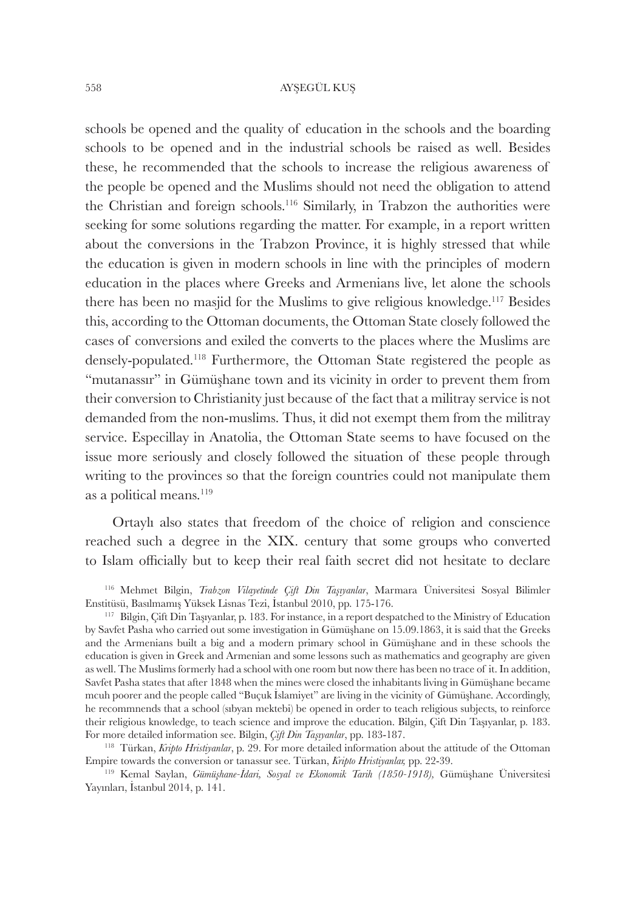schools be opened and the quality of education in the schools and the boarding schools to be opened and in the industrial schools be raised as well. Besides these, he recommended that the schools to increase the religious awareness of the people be opened and the Muslims should not need the obligation to attend the Christian and foreign schools.<sup>116</sup> Similarly, in Trabzon the authorities were seeking for some solutions regarding the matter. For example, in a report written about the conversions in the Trabzon Province, it is highly stressed that while the education is given in modern schools in line with the principles of modern education in the places where Greeks and Armenians live, let alone the schools there has been no masjid for the Muslims to give religious knowledge.<sup>117</sup> Besides this, according to the Ottoman documents, the Ottoman State closely followed the cases of conversions and exiled the converts to the places where the Muslims are densely-populated.<sup>118</sup> Furthermore, the Ottoman State registered the people as "mutanassır" in Gümüşhane town and its vicinity in order to prevent them from their conversion to Christianity just because of the fact that a militray service is not demanded from the non-muslims. Thus, it did not exempt them from the militray service. Especillay in Anatolia, the Ottoman State seems to have focused on the issue more seriously and closely followed the situation of these people through writing to the provinces so that the foreign countries could not manipulate them as a political means. $119$ 

Ortaylı also states that freedom of the choice of religion and conscience reached such a degree in the XIX. century that some groups who converted to Islam officially but to keep their real faith secret did not hesitate to declare

<sup>116</sup>Mehmet Bilgin, *Trabzon Vilayetinde Çift Din Taşıyanlar*, Marmara Üniversitesi Sosyal Bilimler Enstitüsü, Basılmamış Yüksek Lisnas Tezi, İstanbul 2010, pp. 175-176.

<sup>117</sup>Bilgin, Çift Din Taşıyanlar, p. 183. For instance, in a report despatched to the Ministry of Education by Savfet Pasha who carried out some investigation in Gümüşhane on 15.09.1863, it is said that the Greeks and the Armenians built a big and a modern primary school in Gümüşhane and in these schools the education is given in Greek and Armenian and some lessons such as mathematics and geography are given as well. The Muslims formerly had a school with one room but now there has been no trace of it. In addition, Savfet Pasha states that after 1848 when the mines were closed the inhabitants living in Gümüşhane became mcuh poorer and the people called "Buçuk İslamiyet" are living in the vicinity of Gümüşhane. Accordingly, he recommnends that a school (sıbyan mektebi) be opened in order to teach religious subjects, to reinforce their religious knowledge, to teach science and improve the education. Bilgin, Çift Din Taşıyanlar, p. 183. For more detailed information see. Bilgin, *Çift Din Taşıyanlar*, pp. 183-187.

<sup>&</sup>lt;sup>118</sup> Türkan, *Kripto Hristiyanlar*, p. 29. For more detailed information about the attitude of the Ottoman Empire towards the conversion or tanassur see. Türkan, *Kripto Hristiyanlar,* pp. 22-39.

<sup>119</sup>Kemal Saylan, *Gümüşhane-İdari, Sosyal ve Ekonomik Tarih (1850-1918),* Gümüşhane Üniversitesi Yayınları, İstanbul 2014, p. 141.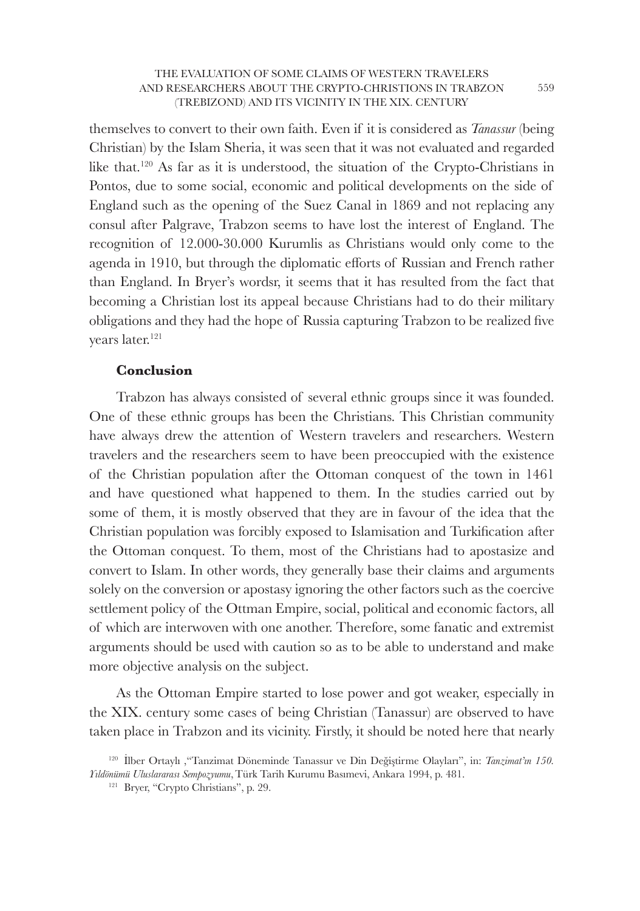themselves to convert to their own faith. Even if it is considered as *Tanassur* (being Christian) by the Islam Sheria, it was seen that it was not evaluated and regarded like that.<sup>120</sup> As far as it is understood, the situation of the Crypto-Christians in Pontos, due to some social, economic and political developments on the side of England such as the opening of the Suez Canal in 1869 and not replacing any consul after Palgrave, Trabzon seems to have lost the interest of England. The recognition of 12.000-30.000 Kurumlis as Christians would only come to the agenda in 1910, but through the diplomatic efforts of Russian and French rather than England. In Bryer's wordsr, it seems that it has resulted from the fact that becoming a Christian lost its appeal because Christians had to do their military obligations and they had the hope of Russia capturing Trabzon to be realized five years later.<sup>121</sup>

## **Conclusion**

Trabzon has always consisted of several ethnic groups since it was founded. One of these ethnic groups has been the Christians. This Christian community have always drew the attention of Western travelers and researchers. Western travelers and the researchers seem to have been preoccupied with the existence of the Christian population after the Ottoman conquest of the town in 1461 and have questioned what happened to them. In the studies carried out by some of them, it is mostly observed that they are in favour of the idea that the Christian population was forcibly exposed to Islamisation and Turkification after the Ottoman conquest. To them, most of the Christians had to apostasize and convert to Islam. In other words, they generally base their claims and arguments solely on the conversion or apostasy ignoring the other factors such as the coercive settlement policy of the Ottman Empire, social, political and economic factors, all of which are interwoven with one another. Therefore, some fanatic and extremist arguments should be used with caution so as to be able to understand and make more objective analysis on the subject.

As the Ottoman Empire started to lose power and got weaker, especially in the XIX. century some cases of being Christian (Tanassur) are observed to have taken place in Trabzon and its vicinity. Firstly, it should be noted here that nearly

559

<sup>120</sup>İlber Ortaylı ,"Tanzimat Döneminde Tanassur ve Din Değiştirme Olayları", in: *Tanzimat'ın 150. Yıldönümü Uluslararası Sempozyumu*,Türk Tarih Kurumu Basımevi, Ankara 1994, p. 481.

<sup>&</sup>lt;sup>121</sup> Bryer, "Crypto Christians", p. 29.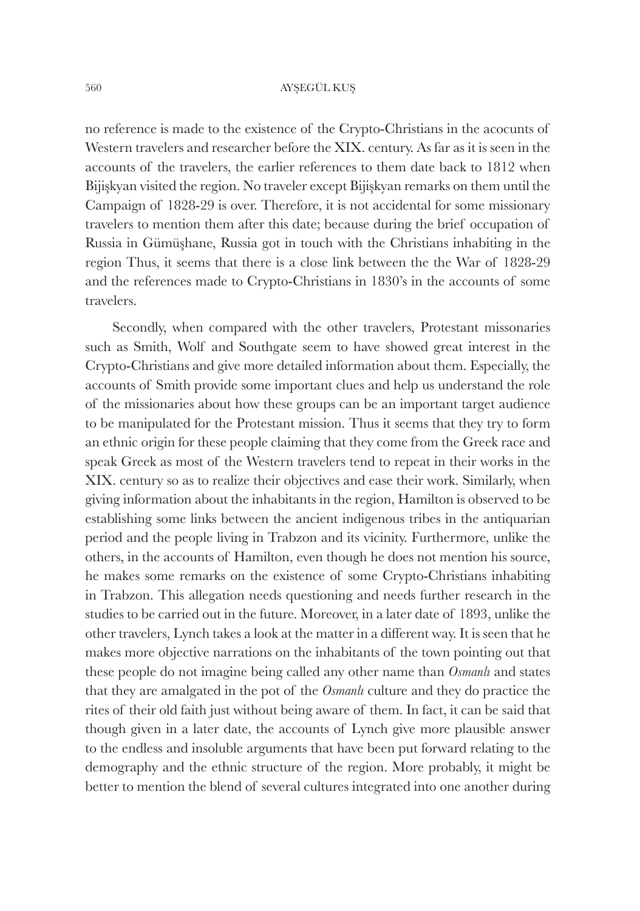no reference is made to the existence of the Crypto-Christians in the acocunts of Western travelers and researcher before the XIX. century. As far as it is seen in the accounts of the travelers, the earlier references to them date back to 1812 when Bijişkyan visited the region. No traveler except Bijişkyan remarks on them until the Campaign of 1828-29 is over. Therefore, it is not accidental for some missionary travelers to mention them after this date; because during the brief occupation of Russia in Gümüşhane, Russia got in touch with the Christians inhabiting in the region Thus, it seems that there is a close link between the the War of 1828-29 and the references made to Crypto-Christians in 1830's in the accounts of some travelers.

Secondly, when compared with the other travelers, Protestant missonaries such as Smith, Wolf and Southgate seem to have showed great interest in the Crypto-Christians and give more detailed information about them. Especially, the accounts of Smith provide some important clues and help us understand the role of the missionaries about how these groups can be an important target audience to be manipulated for the Protestant mission. Thus it seems that they try to form an ethnic origin for these people claiming that they come from the Greek race and speak Greek as most of the Western travelers tend to repeat in their works in the XIX. century so as to realize their objectives and ease their work. Similarly, when giving information about the inhabitants in the region, Hamilton is observed to be establishing some links between the ancient indigenous tribes in the antiquarian period and the people living in Trabzon and its vicinity. Furthermore, unlike the others, in the accounts of Hamilton, even though he does not mention his source, he makes some remarks on the existence of some Crypto-Christians inhabiting in Trabzon. This allegation needs questioning and needs further research in the studies to be carried out in the future. Moreover, in a later date of 1893, unlike the other travelers, Lynch takes a look at the matter in a different way. It is seen that he makes more objective narrations on the inhabitants of the town pointing out that these people do not imagine being called any other name than *Osmanlı* and states that they are amalgated in the pot of the *Osmanlı* culture and they do practice the rites of their old faith just without being aware of them. In fact, it can be said that though given in a later date, the accounts of Lynch give more plausible answer to the endless and insoluble arguments that have been put forward relating to the demography and the ethnic structure of the region. More probably, it might be better to mention the blend of several cultures integrated into one another during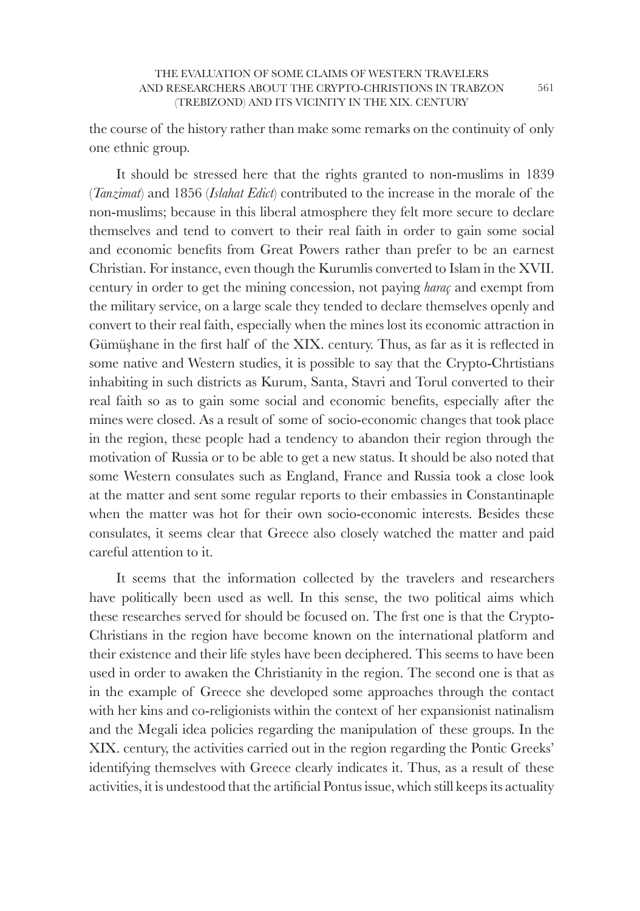the course of the history rather than make some remarks on the continuity of only one ethnic group.

It should be stressed here that the rights granted to non-muslims in 1839 (*Tanzimat*) and 1856 (*Islahat Edict*) contributed to the increase in the morale of the non-muslims; because in this liberal atmosphere they felt more secure to declare themselves and tend to convert to their real faith in order to gain some social and economic benefits from Great Powers rather than prefer to be an earnest Christian. For instance, even though the Kurumlis converted to Islam in the XVII. century in order to get the mining concession, not paying *haraç* and exempt from the military service, on a large scale they tended to declare themselves openly and convert to their real faith, especially when the mines lost its economic attraction in Gümüşhane in the first half of the XIX. century. Thus, as far as it is reflected in some native and Western studies, it is possible to say that the Crypto-Chrtistians inhabiting in such districts as Kurum, Santa, Stavri and Torul converted to their real faith so as to gain some social and economic benefits, especially after the mines were closed. As a result of some of socio-economic changes that took place in the region, these people had a tendency to abandon their region through the motivation of Russia or to be able to get a new status. It should be also noted that some Western consulates such as England, France and Russia took a close look at the matter and sent some regular reports to their embassies in Constantinaple when the matter was hot for their own socio-economic interests. Besides these consulates, it seems clear that Greece also closely watched the matter and paid careful attention to it.

It seems that the information collected by the travelers and researchers have politically been used as well. In this sense, the two political aims which these researches served for should be focused on. The frst one is that the Crypto-Christians in the region have become known on the international platform and their existence and their life styles have been deciphered. This seems to have been used in order to awaken the Christianity in the region. The second one is that as in the example of Greece she developed some approaches through the contact with her kins and co-religionists within the context of her expansionist natinalism and the Megali idea policies regarding the manipulation of these groups. In the XIX. century, the activities carried out in the region regarding the Pontic Greeks' identifying themselves with Greece clearly indicates it. Thus, as a result of these activities, it is undestood that the artificial Pontus issue, which still keeps its actuality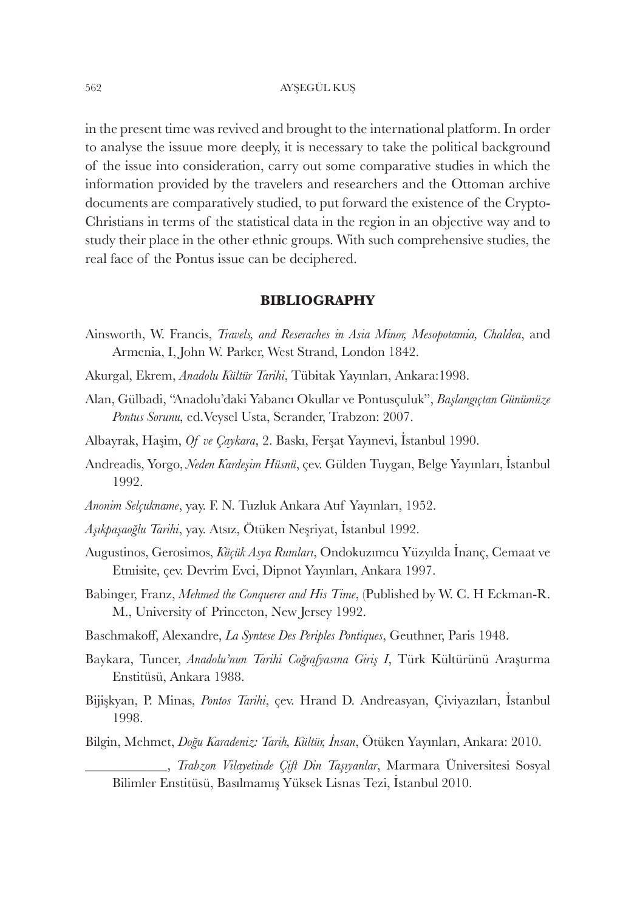in the present time was revived and brought to the international platform. In order to analyse the issuue more deeply, it is necessary to take the political background of the issue into consideration, carry out some comparative studies in which the information provided by the travelers and researchers and the Ottoman archive documents are comparatively studied, to put forward the existence of the Crypto-Christians in terms of the statistical data in the region in an objective way and to study their place in the other ethnic groups. With such comprehensive studies, the real face of the Pontus issue can be deciphered.

## **BIBLIOGRAPHY**

- Ainsworth, W. Francis, *Travels, and Reseraches in Asia Minor, Mesopotamia, Chaldea*, and Armenia, I, John W. Parker, West Strand, London 1842.
- Akurgal, Ekrem, *Anadolu Kültür Tarihi*, Tübitak Yayınları, Ankara:1998.
- Alan, Gülbadi, "Anadolu'daki Yabancı Okullar ve Pontusçuluk", *Başlangıçtan Günümüze Pontus Sorunu,* ed.Veysel Usta, Serander, Trabzon: 2007.
- Albayrak, Haşim, *Of ve Çaykara*, 2. Baskı, Ferşat Yayınevi, İstanbul 1990.
- Andreadis, Yorgo, *Neden Kardeşim Hüsnü*, çev. Gülden Tuygan, Belge Yayınları, İstanbul 1992.
- *Anonim Selçukname*, yay. F. N. Tuzluk Ankara Atıf Yayınları, 1952.
- *Aşıkpaşaoğlu Tarihi*, yay. Atsız, Ötüken Neşriyat, İstanbul 1992.
- Augustinos, Gerosimos, *Küçük Asya Rumları*, Ondokuzımcu Yüzyılda İnanç, Cemaat ve Etnıisite, çev. Devrim Evci, Dipnot Yayınları, Ankara 1997.
- Babinger, Franz, *Mehmed the Conquerer and His Time*, (Published by W. C. H Eckman-R. M., University of Princeton, New Jersey 1992.
- Baschmakoff, Alexandre, *La Syntese Des Periples Pontiques*, Geuthner, Paris 1948.
- Baykara, Tuncer, *Anadolu'nun Tarihi Coğrafyasına Giriş I*, Türk Kültürünü Araştırma Enstitüsü, Ankara 1988.
- Bijişkyan, P. Minas, *Pontos Tarihi*, çev. Hrand D. Andreasyan, Çiviyazıları, İstanbul 1998.
- Bilgin, Mehmet, *Doğu Karadeniz: Tarih, Kültür, İnsan*, Ötüken Yayınları, Ankara: 2010.

\_\_\_\_\_\_\_\_\_\_\_\_, *Trabzon Vilayetinde Çift Din Taşıyanlar*, Marmara Üniversitesi Sosyal Bilimler Enstitüsü, Basılmamış Yüksek Lisnas Tezi, İstanbul 2010.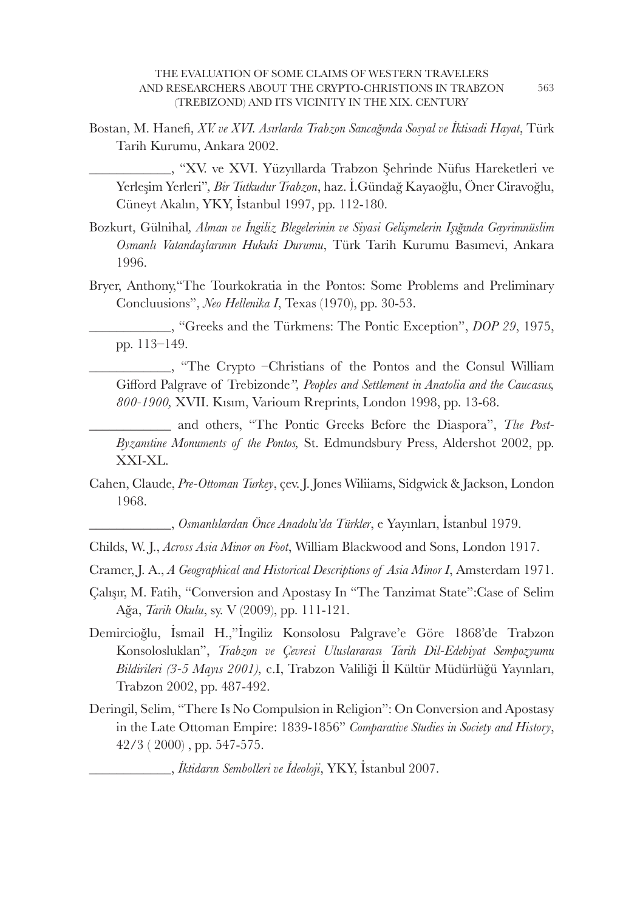Bostan, M. Hanefi , *XV. ve XVI. Asırlarda Trabzon Sancağında Sosyal ve İktisadi Hayat*, Türk Tarih Kurumu, Ankara 2002.

\_\_\_\_\_\_\_\_\_\_\_\_, "XV. ve XVI. Yüzyıllarda Trabzon Şehrinde Nüfus Hareketleri ve Yerleşim Yerleri"*, Bir Tutkudur Trabzon*, haz. İ.Gündağ Kayaoğlu, Öner Ciravoğlu, Cüneyt Akalın, YKY, İstanbul 1997, pp. 112-180.

- Bozkurt, Gülnihal*, Alman ve İngiliz Blegelerinin ve Siyasi Gelişmelerin Işığında Gayrimnüslim Osmanlı Vatandaşlarının Hukuki Durumu*, Türk Tarih Kurumu Basımevi, Ankara 1996.
- Bryer, Anthony,"The Tourkokratia in the Pontos: Some Problems and Preliminary Concluusions", *Neo Hellenika I*, Texas (1970), pp. 30-53.

\_\_\_\_\_\_\_\_\_\_\_\_, "Greeks and the Türkmens: The Pontic Exception", *DOP 29*, 1975, pp. 113–149.

\_\_\_\_\_\_\_\_\_\_\_\_, "The Crypto –Christians of the Pontos and the Consul William Gifford Palgrave of Trebizonde", Peoples and Settlement in Anatolia and the Caucasus, *800-1900,* XVII. Kısım, Varioum Rreprints, London 1998, pp. 13-68.

and others, "The Pontic Greeks Before the Diaspora", *The Post-Byzanıtine Monuments of the Pontos,* St. Edmundsbury Press, Aldershot 2002, pp. XXI-XL.

Cahen, Claude, *Pre-Ottoman Turkey*, çev. J. Jones Wiliiams, Sidgwick & Jackson, London 1968.

\_\_\_\_\_\_\_\_\_\_\_\_, *Osmanlılardan Önce Anadolu'da Türkler*, e Yayınları, İstanbul 1979.

- Childs, W. J., *Across Asia Minor on Foot*, William Blackwood and Sons, London 1917.
- Cramer, J. A., *A Geographical and Historical Descriptions of Asia Minor I*, Amsterdam 1971.
- Çalışır, M. Fatih, "Conversion and Apostasy In "The Tanzimat State":Case of Selim Ağa, *Tarih Okulu*, sy. V (2009), pp. 111-121.
- Demircioğlu, İsmail H.,"İngiliz Konsolosu Palgrave'e Göre 1868'de Trabzon Konsolosluklan", *Trabzon ve Çevresi Uluslararası Tarih Dil-Edebiyat Sempozyumu Bildirileri (3-5 Mayıs 2001),* c.I, Trabzon Valiliği İl Kültür Müdürlüğü Yayınları, Trabzon 2002, pp. 487-492.
- Deringil, Selim, "There Is No Compulsion in Religion": On Conversion and Apostasy in the Late Ottoman Empire: 1839-1856" *Comparative Studies in Society and History*, 42/3 ( 2000) , pp. 547-575.

\_\_\_\_\_\_\_\_\_\_\_\_, *İktidarın Sembolleri ve İdeoloji*, YKY, İstanbul 2007.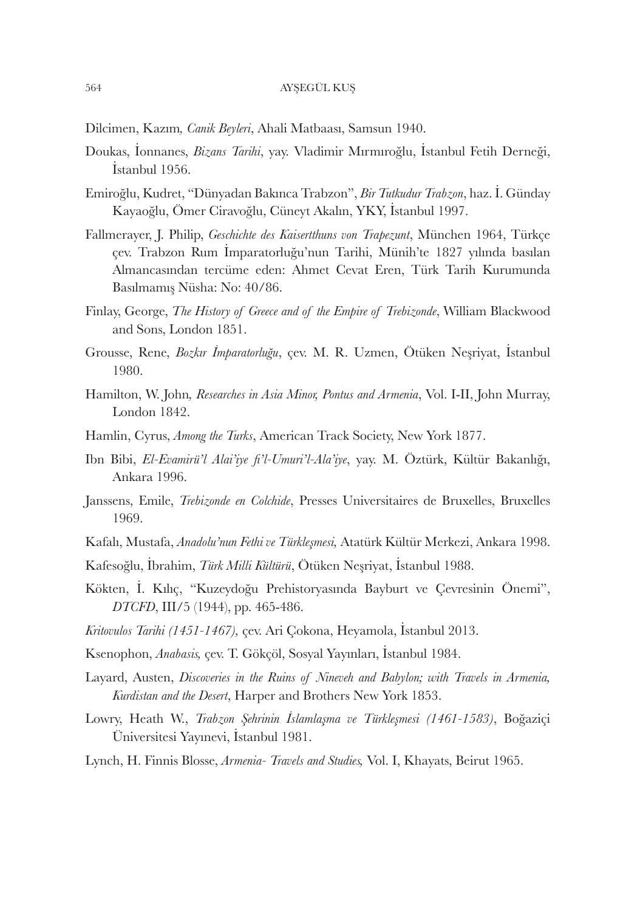- Dilcimen, Kazım*, Canik Beyleri*, Ahali Matbaası, Samsun 1940.
- Doukas, İonnanes, *Bizans Tarihi*, yay. Vladimir Mırmıroğlu, İstanbul Fetih Derneği, İstanbul 1956.
- Emiroğlu, Kudret, "Dünyadan Bakınca Trabzon", *Bir Tutkudur Trabzon*, haz. İ. Günday Kayaoğlu, Ömer Ciravoğlu, Cüneyt Akalın, YKY, İstanbul 1997.
- Fallmerayer, J. Philip, *Geschichte des Kaisertthuns von Trapezunt*, München 1964, Türkçe çev. Trabzon Rum İmparatorluğu'nun Tarihi, Münih'te 1827 yılında basılan Almancasından tercüme eden: Ahmet Cevat Eren, Türk Tarih Kurumunda Basılmamış Nüsha: No: 40/86.
- Finlay, George, *The History of Greece and of the Empire of Trebizonde*, William Blackwood and Sons, London 1851.
- Grousse, Rene, *Bozkır İmparatorluğu*, çev. M. R. Uzmen, Ötüken Neşriyat, İstanbul 1980.
- Hamilton, W. John*, Researches in Asia Minor, Pontus and Armenia*, Vol. I-II, John Murray, London 1842.
- Hamlin, Cyrus, *Among the Turks*, American Track Society, New York 1877.
- Ibn Bibi, *El-Evamirü'l Alai'iye fi 'l-Umuri'l-Ala'iye*, yay. M. Öztürk, Kültür Bakanlığı, Ankara 1996.
- Janssens, Emile, *Trebizonde en Colchide*, Presses Universitaires de Bruxelles, Bruxelles 1969.
- Kafalı, Mustafa, *Anadolu'nun Fethi ve Türkleşmesi,* Atatürk Kültür Merkezi, Ankara 1998.
- Kafesoğlu, İbrahim, *Türk Milli Kültürü*, Ötüken Neşriyat, İstanbul 1988.
- Kökten, İ. Kılıç, "Kuzeydoğu Prehistoryasında Bayburt ve Çevresinin Önemi", *DTCFD*, III/5 (1944), pp. 465-486.
- *Kritovulos Tarihi (1451-1467),* çev. Ari Çokona, Heyamola, İstanbul 2013.
- Ksenophon, *Anabasis,* çev. T. Gökçöl, Sosyal Yayınları, İstanbul 1984.
- Layard, Austen, *Discoveries in the Ruins of Nineveh and Babylon; with Travels in Armenia, Kurdistan and the Desert*, Harper and Brothers New York 1853.
- Lowry, Heath W., *Trabzon Şehrinin İslamlaşma ve Türkleşmesi (1461-1583)*, Boğaziçi Üniversitesi Yayınevi, İstanbul 1981.
- Lynch, H. Finnis Blosse, *Armenia- Travels and Studies,* Vol. I, Khayats, Beirut 1965.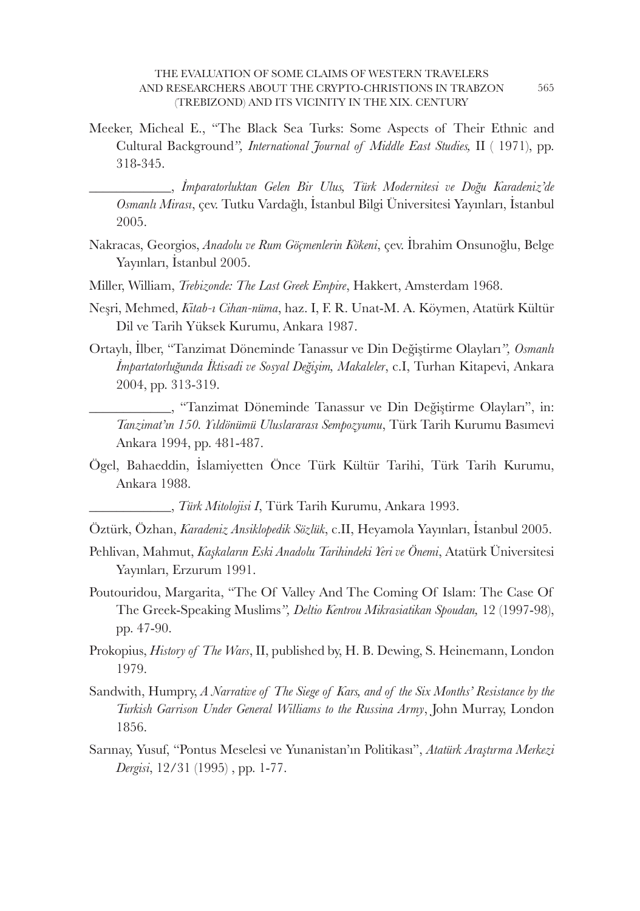- Meeker, Micheal E., "The Black Sea Turks: Some Aspects of Their Ethnic and Cultural Background*", International Journal of Middle East Studies,* II ( 1971), pp. 318-345.
	- \_\_\_\_\_\_\_\_\_\_\_\_, *İmparatorluktan Gelen Bir Ulus, Türk Modernitesi ve Doğu Karadeniz'de Osmanlı Mirası*, çev. Tutku Vardağlı, İstanbul Bilgi Üniversitesi Yayınları, İstanbul 2005.
- Nakracas, Georgios, *Anadolu ve Rum Göçmenlerin Kökeni*, çev. İbrahim Onsunoğlu, Belge Yayınları, İstanbul 2005.
- Miller, William, *Trebizonde: The Last Greek Empire*, Hakkert, Amsterdam 1968.
- Neşri, Mehmed, *Kitab-ı Cihan-nüma*, haz. I, F. R. Unat-M. A. Köymen, Atatürk Kültür Dil ve Tarih Yüksek Kurumu, Ankara 1987.
- Ortaylı, İlber, "Tanzimat Döneminde Tanassur ve Din Değiştirme Olayları*", Osmanlı İmpartatorluğunda İktisadi ve Sosyal Değişim, Makaleler*, c.I, Turhan Kitapevi, Ankara 2004, pp. 313-319.
	- \_\_\_\_\_\_\_\_\_\_\_\_, "Tanzimat Döneminde Tanassur ve Din Değiştirme Olayları", in: *Tanzimat'ın 150. Yıldönümü Uluslararası Sempozyumu*, Türk Tarih Kurumu Basımevi Ankara 1994, pp. 481-487.
- Ögel, Bahaeddin, İslamiyetten Önce Türk Kültür Tarihi, Türk Tarih Kurumu, Ankara 1988.

\_\_\_\_\_\_\_\_\_\_\_\_, *Türk Mitolojisi I*, Türk Tarih Kurumu, Ankara 1993.

- Öztürk, Özhan, *Karadeniz Ansiklopedik Sözlük*, c.II, Heyamola Yayınları, İstanbul 2005.
- Pehlivan, Mahmut, *Kaşkaların Eski Anadolu Tarihindeki Yeri ve Önemi*, Atatürk Üniversitesi Yayınları, Erzurum 1991.
- Poutouridou, Margarita, "The Of Valley And The Coming Of Islam: The Case Of The Greek-Speaking Muslims*", Deltio Kentrou Mikrasiatikan Spoudan,* 12 (1997-98), pp. 47-90.
- Prokopius, *History of The Wars*, II, published by, H. B. Dewing, S. Heinemann, London 1979.
- Sandwith, Humpry, *A Narrative of The Siege of Kars, and of the Six Months' Resistance by the Turkish Garrison Under General Williams to the Russina Army*, John Murray, London 1856.
- Sarınay, Yusuf, "Pontus Meselesi ve Yunanistan'ın Politikası", *Atatürk Araştırma Merkezi Dergisi*, 12/31 (1995) , pp. 1-77.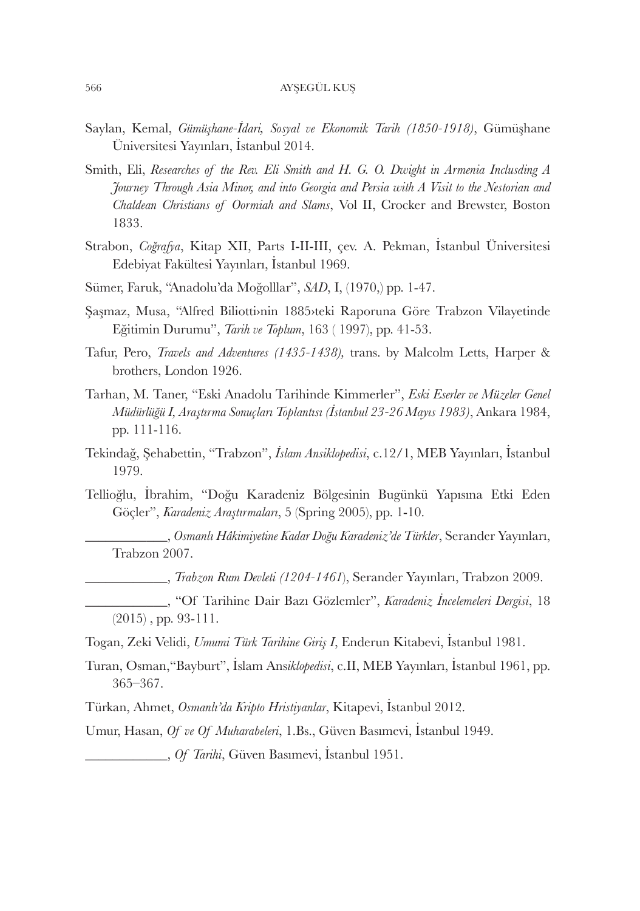- Saylan, Kemal, *Gümüşhane-İdari, Sosyal ve Ekonomik Tarih (1850-1918)*, Gümüşhane Üniversitesi Yayınları, İstanbul 2014.
- Smith, Eli, *Researches of the Rev. Eli Smith and H. G. O. Dwight in Armenia Inclusding A Journey Through Asia Minor, and into Georgia and Persia with A Visit to the Nestorian and Chaldean Christians of Oormiah and Slams*, Vol II, Crocker and Brewster, Boston 1833.
- Strabon, *Coğrafya*, Kitap XII, Parts I-II-III, çev. A. Pekman, İstanbul Üniversitesi Edebiyat Fakültesi Yayınları, İstanbul 1969.
- Sümer, Faruk, "Anadolu'da Moğolllar", *SAD*, I, (1970,) pp. 1-47.
- Şaşmaz, Musa, "Alfred Biliotti›nin 1885›teki Raporuna Göre Trabzon Vilayetinde Eğitimin Durumu", *Tarih ve Toplum*, 163 ( 1997), pp. 41-53.
- Tafur, Pero, *Travels and Adventures (1435-1438),* trans. by Malcolm Letts, Harper & brothers, London 1926.
- Tarhan, M. Taner, "Eski Anadolu Tarihinde Kimmerler", *Eski Eserler ve Müzeler Genel Müdürlüğü I, Araştırma Sonuçları Toplantısı (İstanbul 23-26 Mayıs 1983)*, Ankara 1984, pp. 111-116.
- Tekindağ, Şehabettin, "Trabzon", *İslam Ansiklopedisi*, c.12/1, MEB Yayınları, İstanbul 1979.
- Tellioğlu, İbrahim, "Doğu Karadeniz Bölgesinin Bugünkü Yapısına Etki Eden Göçler", *Karadeniz Araştırmaları*, 5 (Spring 2005), pp. 1-10.

\_\_\_\_\_\_\_\_\_\_\_\_, *Osmanlı Hâkimiyetine Kadar Doğu Karadeniz'de Türkler*, Serander Yayınları, Trabzon 2007.

\_\_\_\_\_\_\_\_\_\_\_\_, *Trabzon Rum Devleti (1204-1461*), Serander Yayınları, Trabzon 2009.

- \_\_\_\_\_\_\_\_\_\_\_\_, "Of Tarihine Dair Bazı Gözlemler", *Karadeniz İncelemeleri Dergisi*, 18 (2015) , pp. 93-111.
- Togan, Zeki Velidi, *Umumi Türk Tarihine Giriş I*, Enderun Kitabevi, İstanbul 1981.
- Turan, Osman,"Bayburt", İslam Ans*iklopedisi*, c.II, MEB Yayınları, İstanbul 1961, pp. 365–367.
- Türkan, Ahmet, *Osmanlı'da Kripto Hristiyanlar*, Kitapevi, İstanbul 2012.

Umur, Hasan, *Of ve Of Muharabeleri*, 1.Bs., Güven Basımevi, İstanbul 1949.

\_\_\_\_\_\_\_\_\_\_\_\_, *Of Tarihi*, Güven Basımevi, İstanbul 1951.